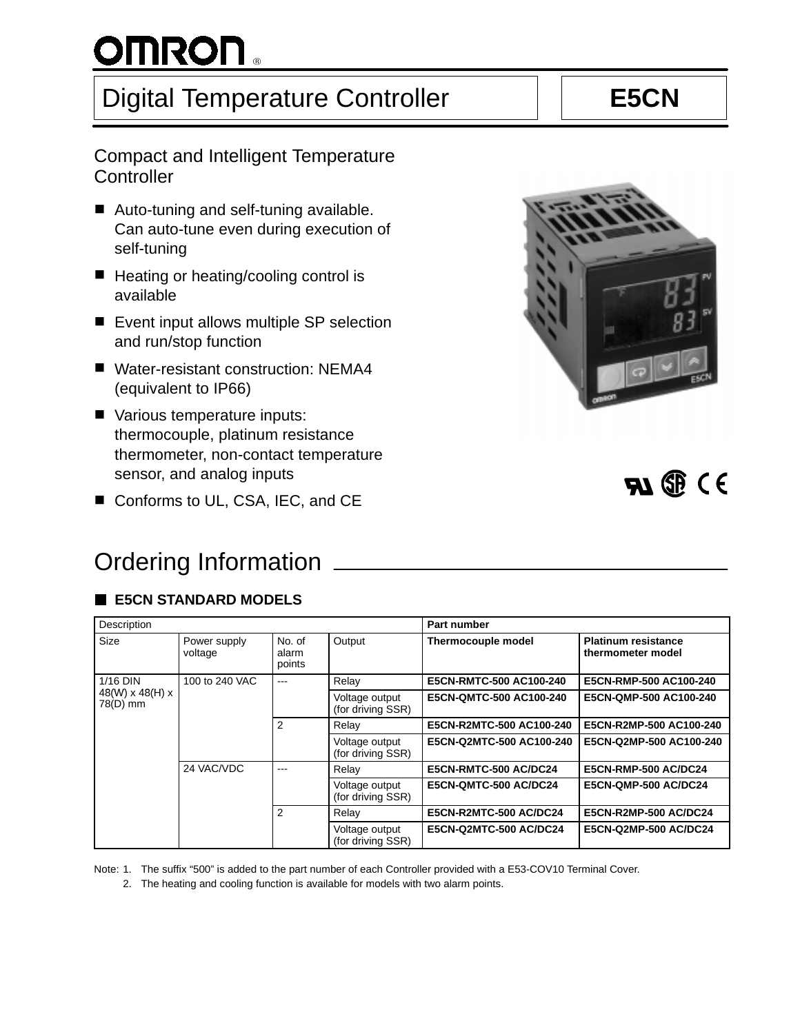# $^{\circ}$

# Digital Temperature Controller | | **E5CN**

# Compact and Intelligent Temperature **Controller**

- Auto-tuning and self-tuning available. Can auto-tune even during execution of self-tuning
- Heating or heating/cooling control is available
- Event input allows multiple SP selection and run/stop function
- Water-resistant construction: NEMA4 (equivalent to IP66)
- Various temperature inputs: thermocouple, platinum resistance thermometer, non-contact temperature sensor, and analog inputs
- sensor, and analog inputs<br>■ Conforms to UL, CSA, IEC, and CE



# Ordering Information

# **E5CN STANDARD MODELS**

| Description                 |                         |                           |                                     | Part number                   |                                                 |
|-----------------------------|-------------------------|---------------------------|-------------------------------------|-------------------------------|-------------------------------------------------|
| Size                        | Power supply<br>voltage | No. of<br>alarm<br>points | Output                              | <b>Thermocouple model</b>     | <b>Platinum resistance</b><br>thermometer model |
| $1/16$ DIN                  | 100 to 240 VAC          | $---$                     | Relay                               | E5CN-RMTC-500 AC100-240       | E5CN-RMP-500 AC100-240                          |
| 48(W) x 48(H) x<br>78(D) mm |                         |                           | Voltage output<br>(for driving SSR) | E5CN-QMTC-500 AC100-240       | E5CN-QMP-500 AC100-240                          |
|                             |                         | 2                         | Relay                               | E5CN-R2MTC-500 AC100-240      | E5CN-R2MP-500 AC100-240                         |
|                             |                         |                           | Voltage output<br>(for driving SSR) | E5CN-Q2MTC-500 AC100-240      | E5CN-Q2MP-500 AC100-240                         |
|                             | 24 VAC/VDC              | ---                       | Relay                               | E5CN-RMTC-500 AC/DC24         | <b>E5CN-RMP-500 AC/DC24</b>                     |
|                             |                         |                           | Voltage output<br>(for driving SSR) | E5CN-QMTC-500 AC/DC24         | <b>E5CN-QMP-500 AC/DC24</b>                     |
|                             |                         | 2                         | Relay                               | <b>E5CN-R2MTC-500 AC/DC24</b> | <b>E5CN-R2MP-500 AC/DC24</b>                    |
|                             |                         |                           | Voltage output<br>(for driving SSR) | <b>E5CN-Q2MTC-500 AC/DC24</b> | <b>E5CN-Q2MP-500 AC/DC24</b>                    |

Note: 1. The suffix "500" is added to the part number of each Controller provided with a E53-COV10 Terminal Cover.

2. The heating and cooling function is available for models with two alarm points.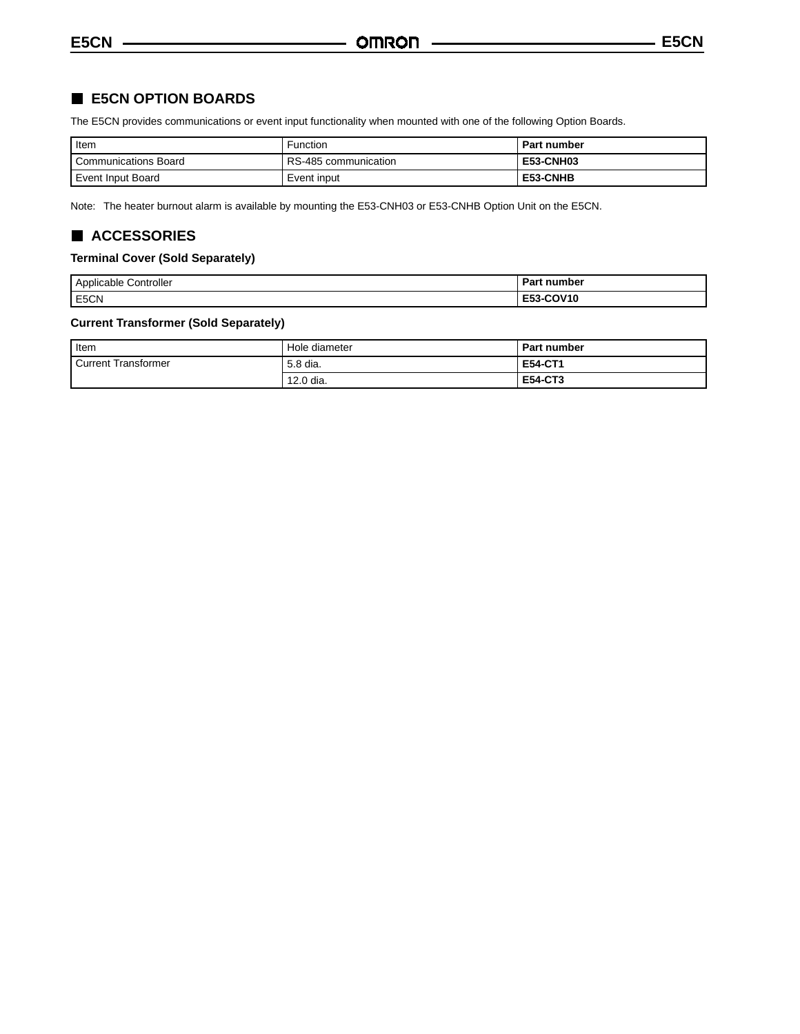# **E5CN OPTION BOARDS**

The E5CN provides communications or event input functionality when mounted with one of the following Option Boards.

| I Item                      | <b>Function</b>      | Part number      |
|-----------------------------|----------------------|------------------|
| <b>Communications Board</b> | RS-485 communication | <b>E53-CNH03</b> |
| Event Input Board           | Event input          | E53-CNHB         |

Note: The heater burnout alarm is available by mounting the E53-CNH03 or E53-CNHB Option Unit on the E5CN.

# **ACCESSORIES**

#### **Terminal Cover (Sold Separately)**

| Controller<br>Applicable<br>. | п. .<br>number<br>ran |
|-------------------------------|-----------------------|
| E5CN                          | E53-COV10             |

# **Current Transformer (Sold Separately)**

| I Item              | Hole diameter | <b>Part number</b> |
|---------------------|---------------|--------------------|
| Current Transformer | 5.8 dia.      | <b>E54-CT1</b>     |
|                     | 12.0 dia.     | <b>E54-CT3</b>     |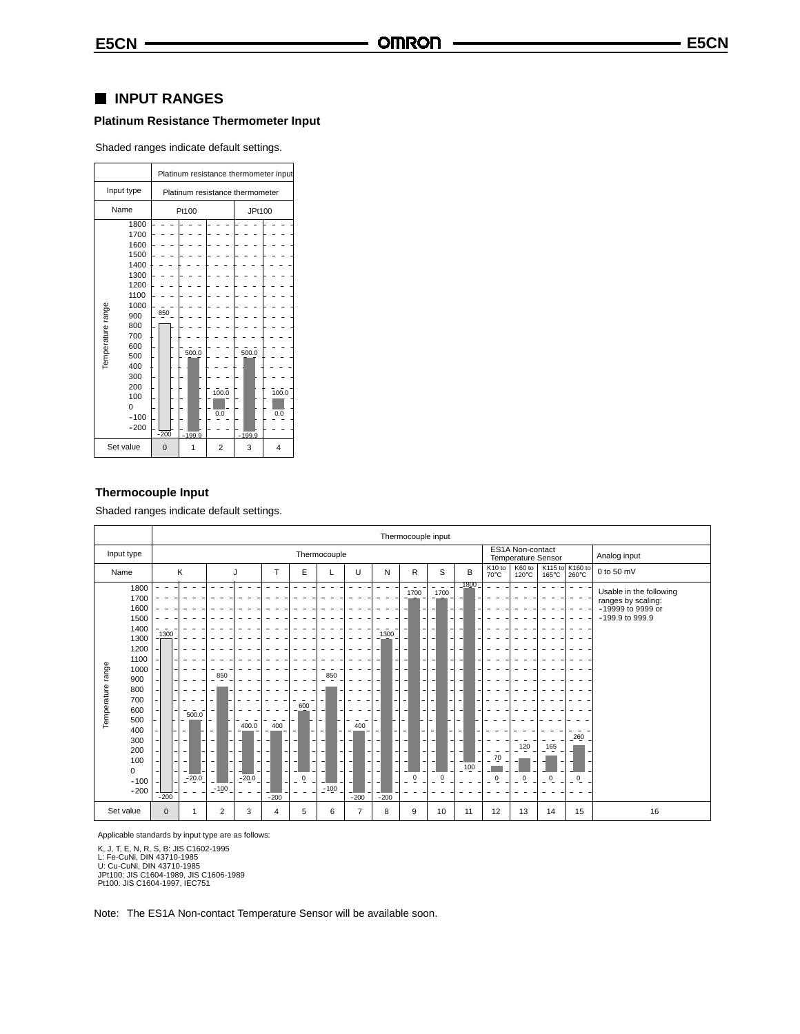## **INPUT RANGES**

## **Platinum Resistance Thermometer Input**

Shaded ranges indicate default settings.

|                                                                                                                                                                                   | Platinum resistance thermometer input              |                                   |  |  |  |  |  |  |  |
|-----------------------------------------------------------------------------------------------------------------------------------------------------------------------------------|----------------------------------------------------|-----------------------------------|--|--|--|--|--|--|--|
| Input type                                                                                                                                                                        | Platinum resistance thermometer                    |                                   |  |  |  |  |  |  |  |
| Name                                                                                                                                                                              | Pt100                                              | JPt100                            |  |  |  |  |  |  |  |
| 1800<br>1700<br>1600<br>1500<br>1400<br>1300<br>1200<br>1100<br>Temperature range<br>1000<br>900<br>800<br>700<br>600<br>500<br>400<br>300<br>200<br>100<br>0<br>$-100$<br>$-200$ | 850<br>500.0<br>100.0<br>0.0<br>$-200$<br>$-199.9$ | 500.0<br>100.0<br>0.0<br>$-199.9$ |  |  |  |  |  |  |  |
| Set value                                                                                                                                                                         | $\overline{2}$<br>$\mathbf 0$                      | 3<br>4                            |  |  |  |  |  |  |  |

#### **Thermocouple Input**

Shaded ranges indicate default settings.

|                                                                                                                                                                                             |                                                                      | Thermocouple input                                                                                                |                    |                                                                       |                                                                                                               |                                           |                                                           |                                                                                                              |                                                                                                    |                                                                                                                                   |                                      |                                        |          |                          |                                                                                       |
|---------------------------------------------------------------------------------------------------------------------------------------------------------------------------------------------|----------------------------------------------------------------------|-------------------------------------------------------------------------------------------------------------------|--------------------|-----------------------------------------------------------------------|---------------------------------------------------------------------------------------------------------------|-------------------------------------------|-----------------------------------------------------------|--------------------------------------------------------------------------------------------------------------|----------------------------------------------------------------------------------------------------|-----------------------------------------------------------------------------------------------------------------------------------|--------------------------------------|----------------------------------------|----------|--------------------------|---------------------------------------------------------------------------------------|
| Input type                                                                                                                                                                                  |                                                                      |                                                                                                                   |                    |                                                                       | Thermocouple                                                                                                  |                                           |                                                           |                                                                                                              |                                                                                                    |                                                                                                                                   |                                      | ES1A Non-contact<br>Temperature Sensor |          |                          | Analog input                                                                          |
| Name                                                                                                                                                                                        | Κ                                                                    | J                                                                                                                 | T                  | Ε                                                                     |                                                                                                               | U                                         | N                                                         | R                                                                                                            | S                                                                                                  | B                                                                                                                                 | K <sub>10</sub> to<br>$70^{\circ}$ C | K60 to<br>120°C                        | 165°C    | K115 to K160 to<br>260°C | 0 to 50 mV                                                                            |
| 1800<br>1700<br>1600<br>1500<br>1400<br>1300<br>1200<br>1100<br>Temperature range<br>1000<br>900<br>800<br>700<br>600<br>500<br>400<br>300<br>200<br>100<br>$\mathbf 0$<br>$-100$<br>$-200$ | 1300<br>7500.0<br>-<br>$\overline{\phantom{a}}$<br>$-20.0$<br>$-200$ | 850<br>400.0<br>$\overline{\phantom{a}}$<br>٠<br>$\sim$<br>$\qquad \qquad \blacksquare$<br>٠<br>$-20.0$<br>$-100$ | 400<br>۰<br>$-200$ | 600<br>$\overline{\phantom{0}}$<br>٠<br>۰<br>۰<br>$\sim$<br>$\bar{0}$ | 850<br>$\overline{\phantom{a}}$<br>$\overline{\phantom{a}}$<br>$\overline{\phantom{a}}$<br>- 1<br>٠<br>$-100$ | 400<br>$\overline{\phantom{a}}$<br>$-200$ | 1300<br>٠<br>۰<br>٠<br>$\overline{a}$<br>۰<br>٠<br>$-200$ | $\overline{\phantom{a}}$<br>1700<br>۰<br>$\overline{\phantom{a}}$<br>$\overline{\phantom{a}}$<br>$\mathbf 0$ | $\sim$<br>1700<br>$\overline{\phantom{a}}$<br>٠.<br>$\overline{\phantom{a}}$<br>۰<br>٠<br>$\Omega$ | 1800<br>$\overline{\phantom{a}}$<br>$\overline{\phantom{a}}$<br>-<br>-1<br>-<br>$\overline{\phantom{0}}$<br>-<br>٠<br>۰<br>$-100$ | 70<br>$\overline{0}$                 | 120<br>Q<br>٠                          | 165<br>0 | $-260$<br>$\bf 0$        | Usable in the following<br>ranges by scaling:<br>-19999 to 9999 or<br>-199.9 to 999.9 |
| Set value                                                                                                                                                                                   | $\mathbf{0}$<br>$\overline{1}$                                       | $\overline{2}$<br>3                                                                                               | $\overline{4}$     | 5                                                                     | 6                                                                                                             | $\overline{7}$                            | 8                                                         | 9                                                                                                            | 10                                                                                                 | 11                                                                                                                                | 12                                   | 13                                     | 14       | 15                       | 16                                                                                    |

Applicable standards by input type are as follows:

K, J, T, E, N, R, S, B: JIS C1602-1995<br>L: Fe-CuNi, DIN 43710-1985<br>U: Cu-CuNi, DIN 43710-1985<br>JPt100: JIS C1604-1989, JIS C1606-1989<br>Pt100: JIS C1604-1997, IEC751

Note: The ES1A Non-contact Temperature Sensor will be available soon.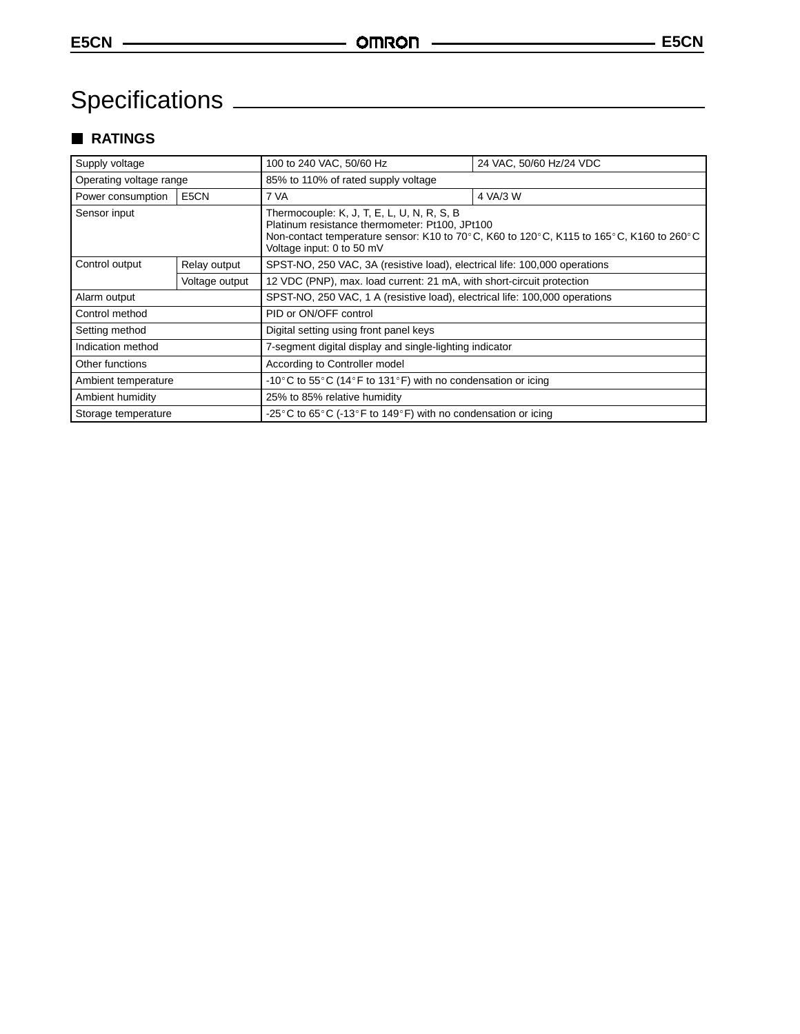# Specifications

# **RATINGS**

| Supply voltage          |                   | 100 to 240 VAC, 50/60 Hz<br>24 VAC, 50/60 Hz/24 VDC                                                                                                                                                                  |  |  |  |  |  |
|-------------------------|-------------------|----------------------------------------------------------------------------------------------------------------------------------------------------------------------------------------------------------------------|--|--|--|--|--|
| Operating voltage range |                   | 85% to 110% of rated supply voltage                                                                                                                                                                                  |  |  |  |  |  |
| Power consumption       | E <sub>5</sub> CN | 4 VA/3 W<br>7 VA                                                                                                                                                                                                     |  |  |  |  |  |
| Sensor input            |                   | Thermocouple: K, J, T, E, L, U, N, R, S, B<br>Platinum resistance thermometer: Pt100, JPt100<br>Non-contact temperature sensor: K10 to 70°C, K60 to 120°C, K115 to 165°C, K160 to 260°C<br>Voltage input: 0 to 50 mV |  |  |  |  |  |
| Control output          | Relay output      | SPST-NO, 250 VAC, 3A (resistive load), electrical life: 100,000 operations                                                                                                                                           |  |  |  |  |  |
|                         | Voltage output    | 12 VDC (PNP), max. load current: 21 mA, with short-circuit protection                                                                                                                                                |  |  |  |  |  |
| Alarm output            |                   | SPST-NO, 250 VAC, 1 A (resistive load), electrical life: 100,000 operations                                                                                                                                          |  |  |  |  |  |
| Control method          |                   | PID or ON/OFF control                                                                                                                                                                                                |  |  |  |  |  |
| Setting method          |                   | Digital setting using front panel keys                                                                                                                                                                               |  |  |  |  |  |
| Indication method       |                   | 7-segment digital display and single-lighting indicator                                                                                                                                                              |  |  |  |  |  |
| Other functions         |                   | According to Controller model                                                                                                                                                                                        |  |  |  |  |  |
| Ambient temperature     |                   | -10°C to 55°C (14°F to 131°F) with no condensation or icing                                                                                                                                                          |  |  |  |  |  |
| Ambient humidity        |                   | 25% to 85% relative humidity                                                                                                                                                                                         |  |  |  |  |  |
| Storage temperature     |                   | -25 °C to 65 °C (-13 °F to 149 °F) with no condensation or icing                                                                                                                                                     |  |  |  |  |  |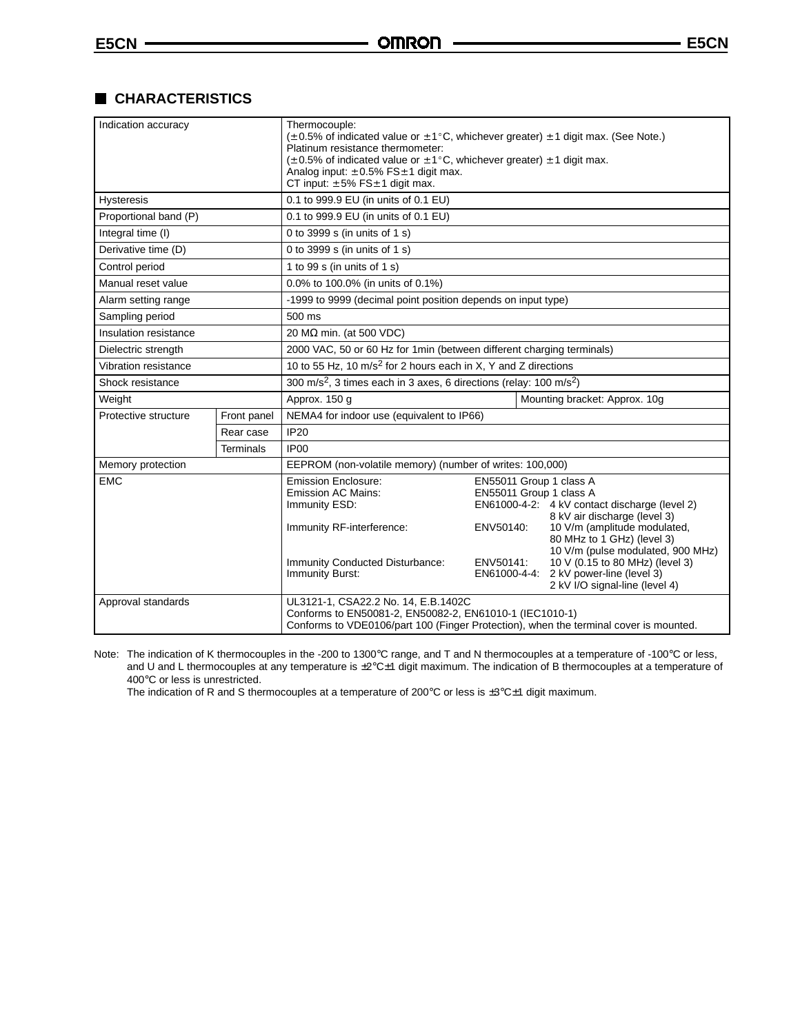# **CHARACTERISTICS**

| Indication accuracy   |             | Thermocouple:<br>$(\pm 0.5\%$ of indicated value or $\pm 1^{\circ}$ C, whichever greater) $\pm 1$ digit max. (See Note.)<br>Platinum resistance thermometer:<br>$(\pm 0.5\%$ of indicated value or $\pm 1\degree$ C, whichever greater) $\pm 1$ digit max.<br>Analog input: $\pm 0.5\%$ FS $\pm 1$ digit max.<br>CT input: $\pm 5\%$ FS $\pm 1$ digit max.                                                                                                                                                                                 |  |  |  |  |  |  |
|-----------------------|-------------|--------------------------------------------------------------------------------------------------------------------------------------------------------------------------------------------------------------------------------------------------------------------------------------------------------------------------------------------------------------------------------------------------------------------------------------------------------------------------------------------------------------------------------------------|--|--|--|--|--|--|
| <b>Hysteresis</b>     |             | 0.1 to 999.9 EU (in units of 0.1 EU)                                                                                                                                                                                                                                                                                                                                                                                                                                                                                                       |  |  |  |  |  |  |
| Proportional band (P) |             | 0.1 to 999.9 EU (in units of 0.1 EU)                                                                                                                                                                                                                                                                                                                                                                                                                                                                                                       |  |  |  |  |  |  |
| Integral time (I)     |             | 0 to 3999 s (in units of 1 s)                                                                                                                                                                                                                                                                                                                                                                                                                                                                                                              |  |  |  |  |  |  |
| Derivative time (D)   |             | 0 to 3999 s (in units of 1 s)                                                                                                                                                                                                                                                                                                                                                                                                                                                                                                              |  |  |  |  |  |  |
| Control period        |             | 1 to 99 s (in units of 1 s)                                                                                                                                                                                                                                                                                                                                                                                                                                                                                                                |  |  |  |  |  |  |
| Manual reset value    |             | 0.0% to 100.0% (in units of 0.1%)                                                                                                                                                                                                                                                                                                                                                                                                                                                                                                          |  |  |  |  |  |  |
| Alarm setting range   |             | -1999 to 9999 (decimal point position depends on input type)                                                                                                                                                                                                                                                                                                                                                                                                                                                                               |  |  |  |  |  |  |
| Sampling period       |             | 500 ms                                                                                                                                                                                                                                                                                                                                                                                                                                                                                                                                     |  |  |  |  |  |  |
| Insulation resistance |             | 20 M $\Omega$ min. (at 500 VDC)                                                                                                                                                                                                                                                                                                                                                                                                                                                                                                            |  |  |  |  |  |  |
| Dielectric strength   |             | 2000 VAC, 50 or 60 Hz for 1min (between different charging terminals)                                                                                                                                                                                                                                                                                                                                                                                                                                                                      |  |  |  |  |  |  |
| Vibration resistance  |             | 10 to 55 Hz, 10 m/s <sup>2</sup> for 2 hours each in X, Y and Z directions                                                                                                                                                                                                                                                                                                                                                                                                                                                                 |  |  |  |  |  |  |
| Shock resistance      |             | 300 m/s <sup>2</sup> , 3 times each in 3 axes, 6 directions (relay: 100 m/s <sup>2</sup> )                                                                                                                                                                                                                                                                                                                                                                                                                                                 |  |  |  |  |  |  |
| Weight                |             | Mounting bracket: Approx. 10g<br>Approx. 150 g                                                                                                                                                                                                                                                                                                                                                                                                                                                                                             |  |  |  |  |  |  |
| Protective structure  | Front panel | NEMA4 for indoor use (equivalent to IP66)                                                                                                                                                                                                                                                                                                                                                                                                                                                                                                  |  |  |  |  |  |  |
|                       | Rear case   | <b>IP20</b>                                                                                                                                                                                                                                                                                                                                                                                                                                                                                                                                |  |  |  |  |  |  |
|                       | Terminals   | IP <sub>00</sub>                                                                                                                                                                                                                                                                                                                                                                                                                                                                                                                           |  |  |  |  |  |  |
| Memory protection     |             | EEPROM (non-volatile memory) (number of writes: 100,000)                                                                                                                                                                                                                                                                                                                                                                                                                                                                                   |  |  |  |  |  |  |
| <b>EMC</b>            |             | Emission Enclosure:<br>EN55011 Group 1 class A<br>EN55011 Group 1 class A<br><b>Emission AC Mains:</b><br>EN61000-4-2: 4 kV contact discharge (level 2)<br>Immunity ESD:<br>8 kV air discharge (level 3)<br>10 V/m (amplitude modulated,<br>Immunity RF-interference:<br>ENV50140:<br>80 MHz to 1 GHz) (level 3)<br>10 V/m (pulse modulated, 900 MHz)<br>10 V (0.15 to 80 MHz) (level 3)<br>Immunity Conducted Disturbance:<br>ENV50141:<br>Immunity Burst:<br>EN61000-4-4:<br>2 kV power-line (level 3)<br>2 kV I/O signal-line (level 4) |  |  |  |  |  |  |
| Approval standards    |             | UL3121-1, CSA22.2 No. 14, E.B.1402C<br>Conforms to EN50081-2, EN50082-2, EN61010-1 (IEC1010-1)<br>Conforms to VDE0106/part 100 (Finger Protection), when the terminal cover is mounted.                                                                                                                                                                                                                                                                                                                                                    |  |  |  |  |  |  |

Note: The indication of K thermocouples in the -200 to 1300°C range, and T and N thermocouples at a temperature of -100°C or less, and U and L thermocouples at any temperature is  $\pm 2^{\circ}$ C $\pm 1$  digit maximum. The indication of B thermocouples at a temperature of 400°C or less is unrestricted.

The indication of R and S thermocouples at a temperature of 200°C or less is ±3°C±1 digit maximum.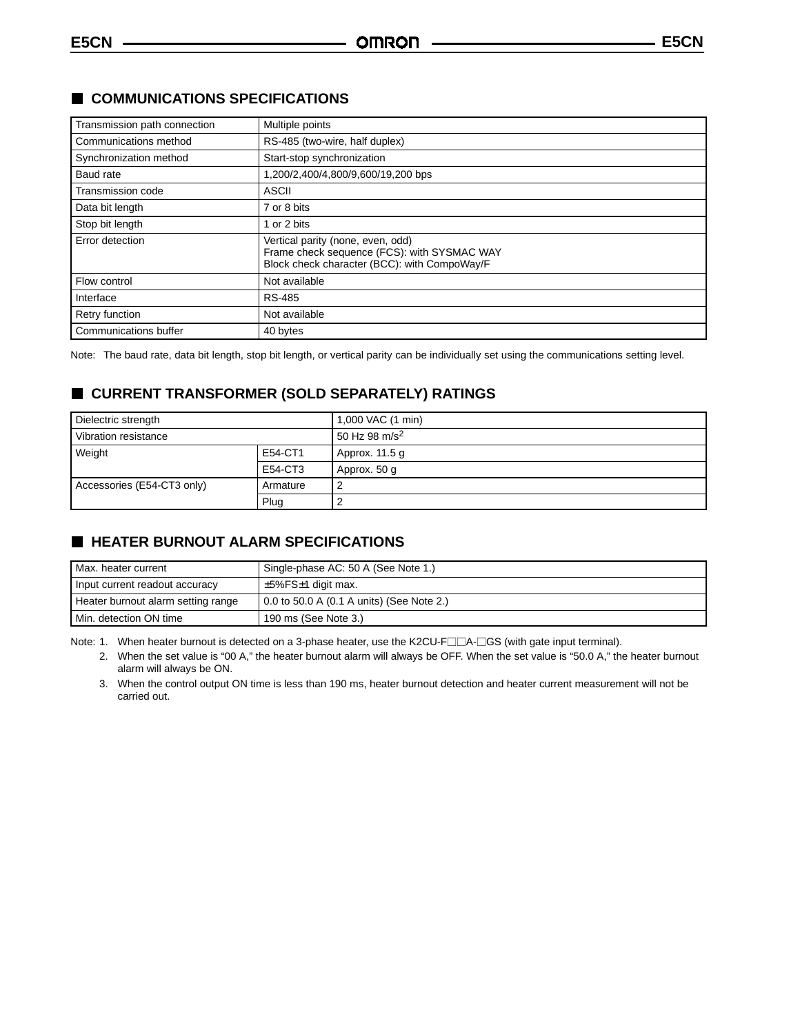| Transmission path connection | Multiple points                                                                                                                  |
|------------------------------|----------------------------------------------------------------------------------------------------------------------------------|
| Communications method        | RS-485 (two-wire, half duplex)                                                                                                   |
| Synchronization method       | Start-stop synchronization                                                                                                       |
| Baud rate                    | 1,200/2,400/4,800/9,600/19,200 bps                                                                                               |
| Transmission code            | <b>ASCII</b>                                                                                                                     |
| Data bit length              | 7 or 8 bits                                                                                                                      |
| Stop bit length              | 1 or 2 bits                                                                                                                      |
| Error detection              | Vertical parity (none, even, odd)<br>Frame check sequence (FCS): with SYSMAC WAY<br>Block check character (BCC): with CompoWay/F |
| Flow control                 | Not available                                                                                                                    |
| Interface                    | <b>RS-485</b>                                                                                                                    |
| <b>Retry function</b>        | Not available                                                                                                                    |
| Communications buffer        | 40 bytes                                                                                                                         |

# **COMMUNICATIONS SPECIFICATIONS**

Note: The baud rate, data bit length, stop bit length, or vertical parity can be individually set using the communications setting level.

# **CURRENT TRANSFORMER (SOLD SEPARATELY) RATINGS**

| Dielectric strength        |          | 1,000 VAC (1 min)         |
|----------------------------|----------|---------------------------|
| Vibration resistance       |          | 50 Hz 98 m/s <sup>2</sup> |
| Weight                     | E54-CT1  | Approx. 11.5 g            |
|                            | E54-CT3  | Approx. 50 g              |
| Accessories (E54-CT3 only) | Armature |                           |
|                            | Plug     |                           |

# **HEATER BURNOUT ALARM SPECIFICATIONS**

| Max. heater current                | Single-phase AC: 50 A (See Note 1.)       |
|------------------------------------|-------------------------------------------|
| Input current readout accuracy     | $+5\%$ FS $\pm$ 1 digit max.              |
| Heater burnout alarm setting range | 0.0 to 50.0 A (0.1 A units) (See Note 2.) |
| Min. detection ON time             | 190 ms (See Note 3.)                      |

Note: 1. When heater burnout is detected on a 3-phase heater, use the K2CU-FIIA-ISS (with gate input terminal).

2. When the set value is "00 A," the heater burnout alarm will always be OFF. When the set value is "50.0 A," the heater burnout alarm will always be ON.

3. When the control output ON time is less than 190 ms, heater burnout detection and heater current measurement will not be carried out.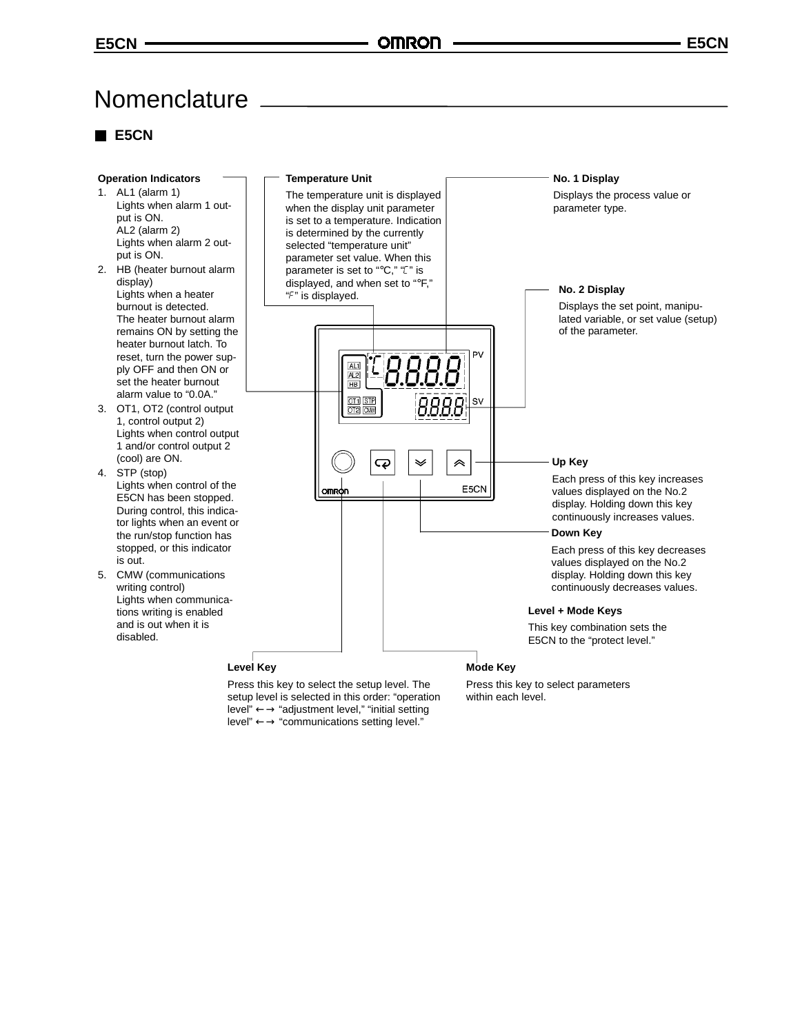# **Nomenclature**

# **E5CN**



level" ←→ "communications setting level."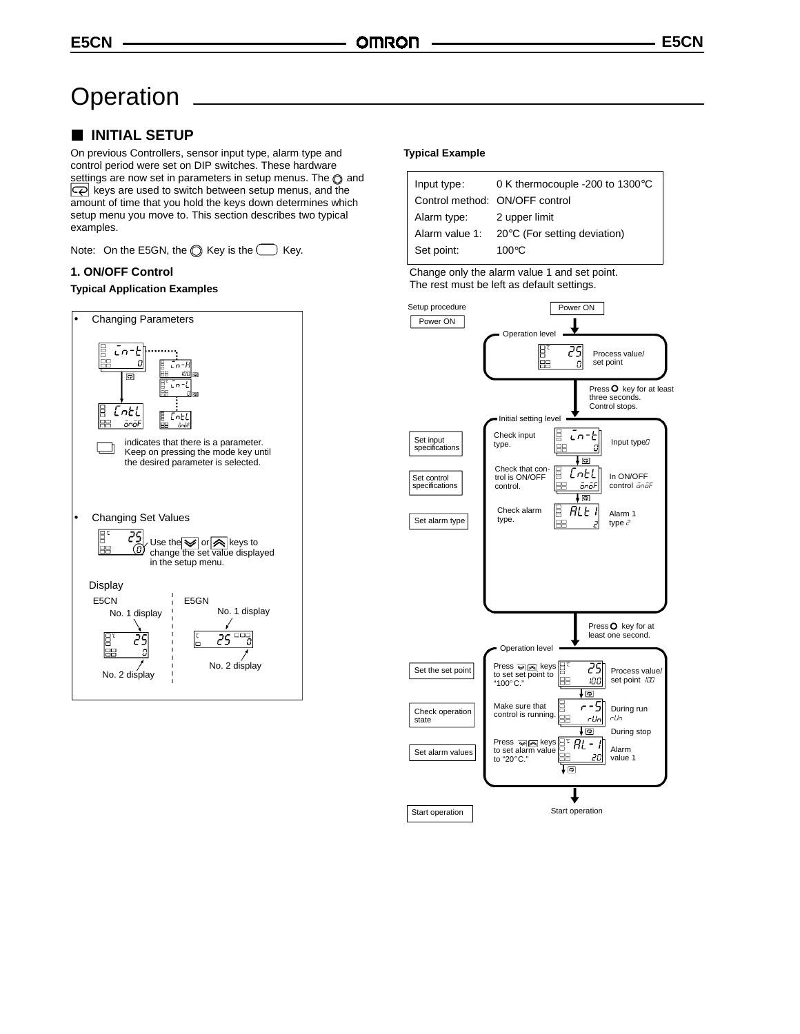# **Operation**

# **INITIAL SETUP**

On previous Controllers, sensor input type, alarm type and control period were set on DIP switches. These hardware settings are now set in parameters in setup menus. The  $\odot$  and  $\overline{\mathbb{Q}}$  keys are used to switch between setup menus, and the amount of time that you hold the keys down determines which setup menu you move to. This section describes two typical examples.

Note: On the E5GN, the  $\bigcirc$  Key is the  $\bigcirc$  Key.

#### **1. ON/OFF Control**

#### **Typical Application Examples**



#### **Typical Example**

| Input type:    | 0 K thermocouple -200 to 1300°C        |
|----------------|----------------------------------------|
|                | Control method: ON/OFF control         |
| Alarm type:    | 2 upper limit                          |
| Alarm value 1: | $20^{\circ}$ C (For setting deviation) |
| Set point:     | $100^{\circ}$ C                        |

Change only the alarm value 1 and set point. The rest must be left as default settings.

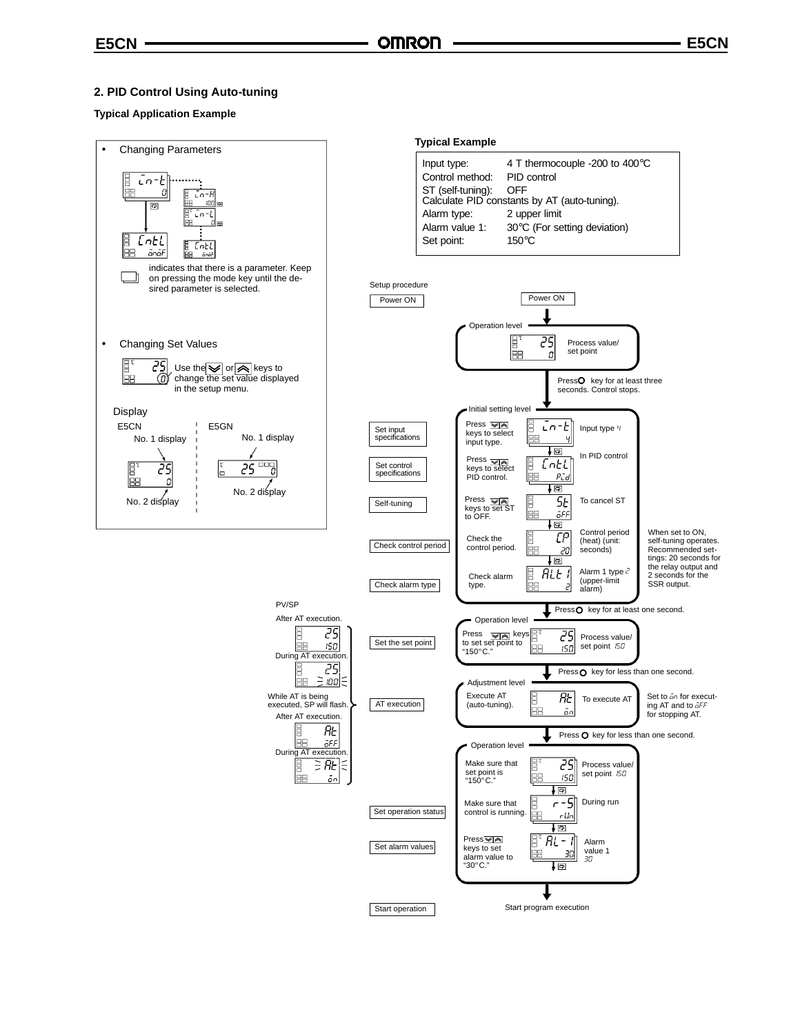# **2. PID Control Using Auto-tuning**

### **Typical Application Example**

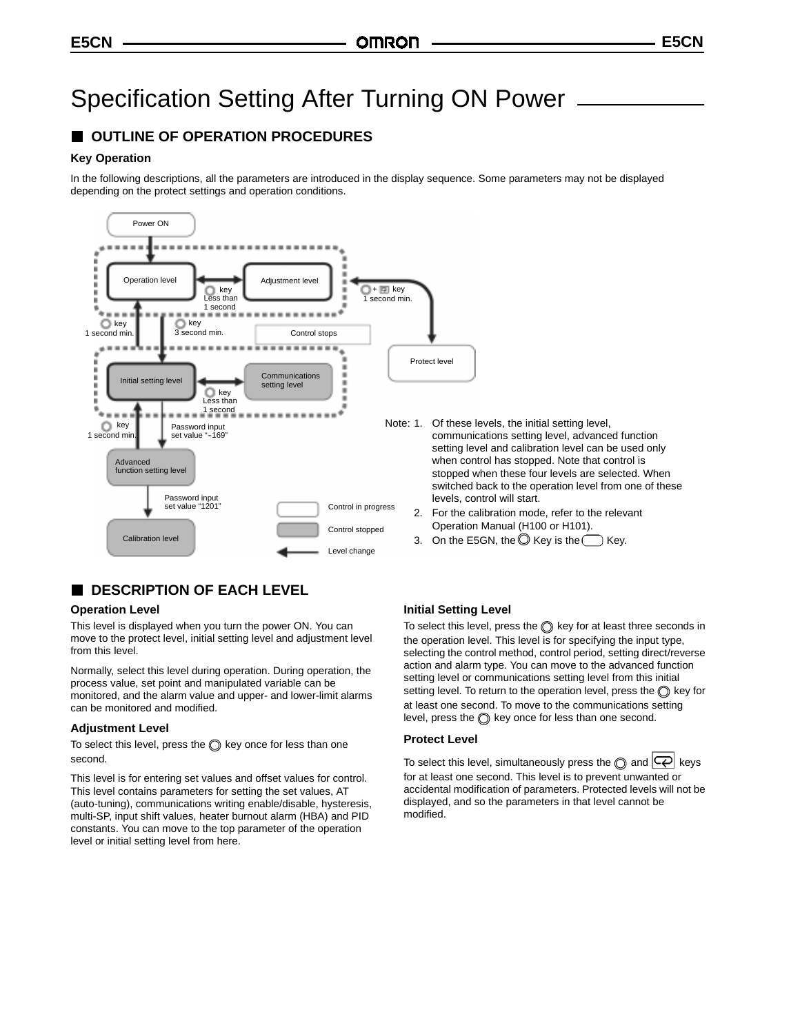# Specification Setting After Turning ON Power

# **OUTLINE OF OPERATION PROCEDURES**

#### **Key Operation**

In the following descriptions, all the parameters are introduced in the display sequence. Some parameters may not be displayed depending on the protect settings and operation conditions.



# **DESCRIPTION OF EACH LEVEL**

#### **Operation Level**

This level is displayed when you turn the power ON. You can move to the protect level, initial setting level and adjustment level from this level.

Normally, select this level during operation. During operation, the process value, set point and manipulated variable can be monitored, and the alarm value and upper- and lower-limit alarms can be monitored and modified.

#### **Adjustment Level**

To select this level, press the  $\bigcirc$  key once for less than one second.

This level is for entering set values and offset values for control. This level contains parameters for setting the set values, AT (auto-tuning), communications writing enable/disable, hysteresis, multi-SP, input shift values, heater burnout alarm (HBA) and PID constants. You can move to the top parameter of the operation level or initial setting level from here.

### **Initial Setting Level**

To select this level, press the  $\bigcirc$  key for at least three seconds in the operation level. This level is for specifying the input type, selecting the control method, control period, setting direct/reverse action and alarm type. You can move to the advanced function setting level or communications setting level from this initial setting level. To return to the operation level, press the  $\bigcirc$  key for at least one second. To move to the communications setting level, press the  $\bigcirc$  key once for less than one second.

#### **Protect Level**

To select this level, simultaneously press the  $\bigcirc$  and  $\bigcirc$  keys for at least one second. This level is to prevent unwanted or accidental modification of parameters. Protected levels will not be displayed, and so the parameters in that level cannot be modified.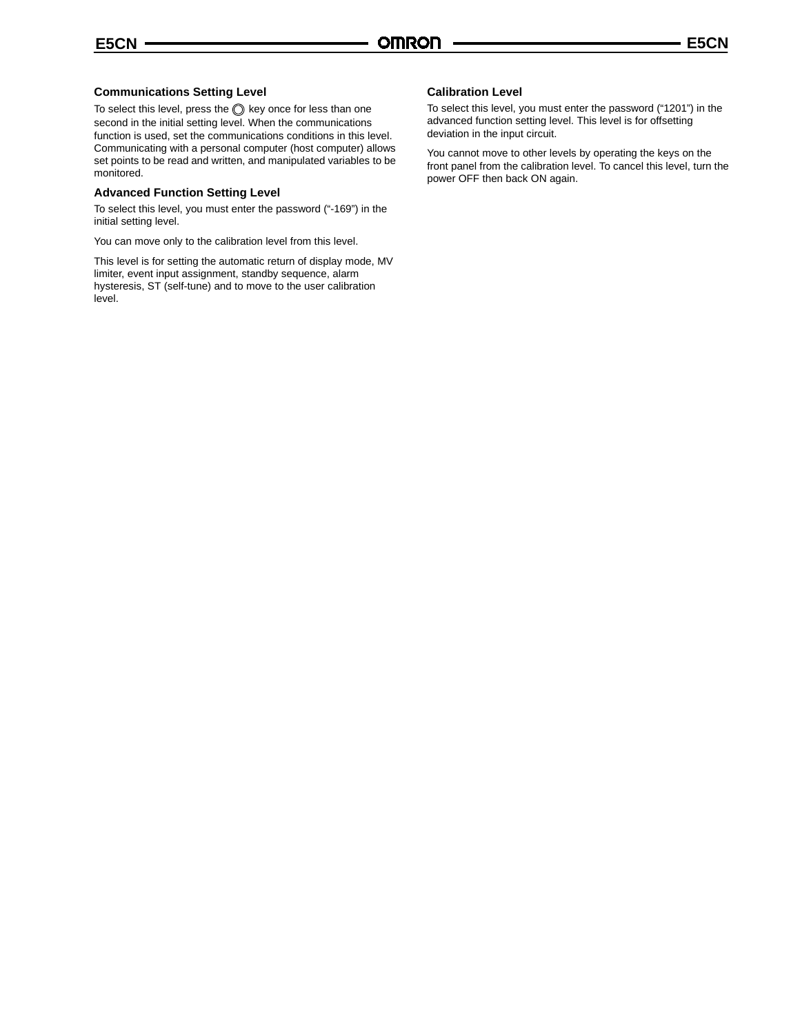#### **Communications Setting Level**

To select this level, press the  $\bigcirc$  key once for less than one second in the initial setting level. When the communications function is used, set the communications conditions in this level. Communicating with a personal computer (host computer) allows set points to be read and written, and manipulated variables to be monitored.

#### **Advanced Function Setting Level**

To select this level, you must enter the password ("-169") in the initial setting level.

You can move only to the calibration level from this level.

This level is for setting the automatic return of display mode, MV limiter, event input assignment, standby sequence, alarm hysteresis, ST (self-tune) and to move to the user calibration level.

#### **Calibration Level**

To select this level, you must enter the password ("1201") in the advanced function setting level. This level is for offsetting deviation in the input circuit.

You cannot move to other levels by operating the keys on the front panel from the calibration level. To cancel this level, turn the power OFF then back ON again.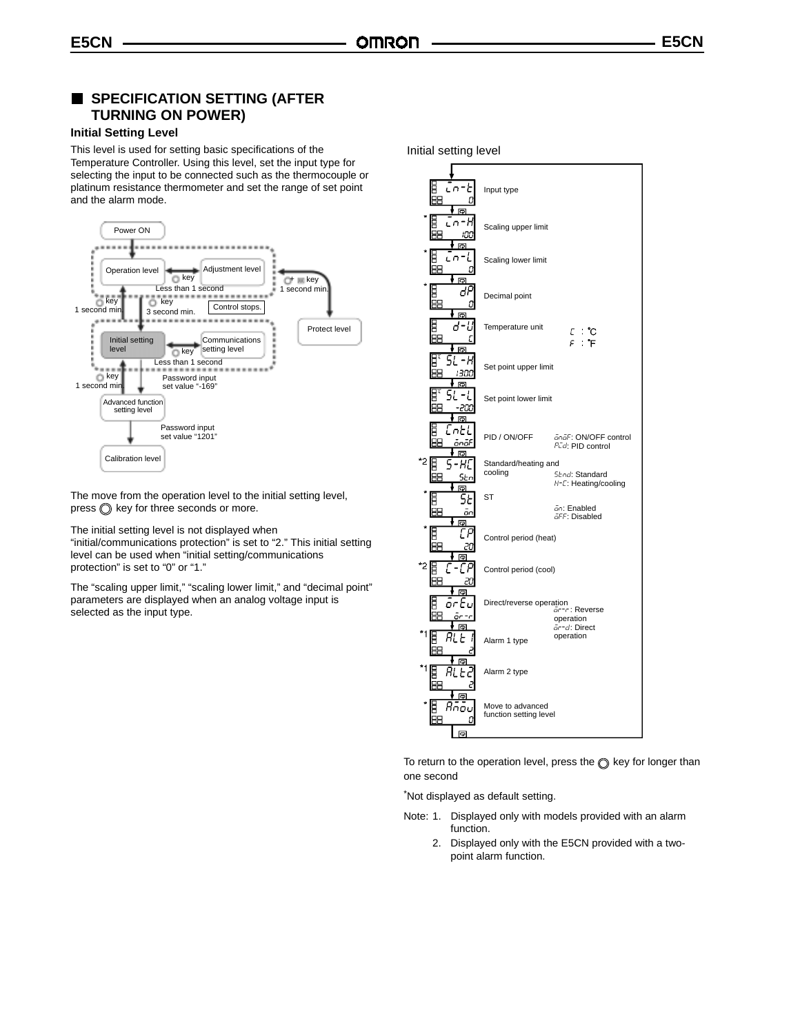### **SPECIFICATION SETTING (AFTER TURNING ON POWER)**

#### **Initial Setting Level**

This level is used for setting basic specifications of the Temperature Controller. Using this level, set the input type for selecting the input to be connected such as the thermocouple or platinum resistance thermometer and set the range of set point and the alarm mode.



The move from the operation level to the initial setting level,  $pres \circled{} key$  for three seconds or more.

The initial setting level is not displayed when

"initial/communications protection" is set to "2." This initial setting level can be used when "initial setting/communications protection" is set to "0" or "1."

The "scaling upper limit," "scaling lower limit," and "decimal point" parameters are displayed when an analog voltage input is selected as the input type.

Initial setting level



To return to the operation level, press the  $\circledcirc$  key for longer than one second

\*Not displayed as default setting.

- Note: 1. Displayed only with models provided with an alarm function.
	- 2. Displayed only with the E5CN provided with a twopoint alarm function.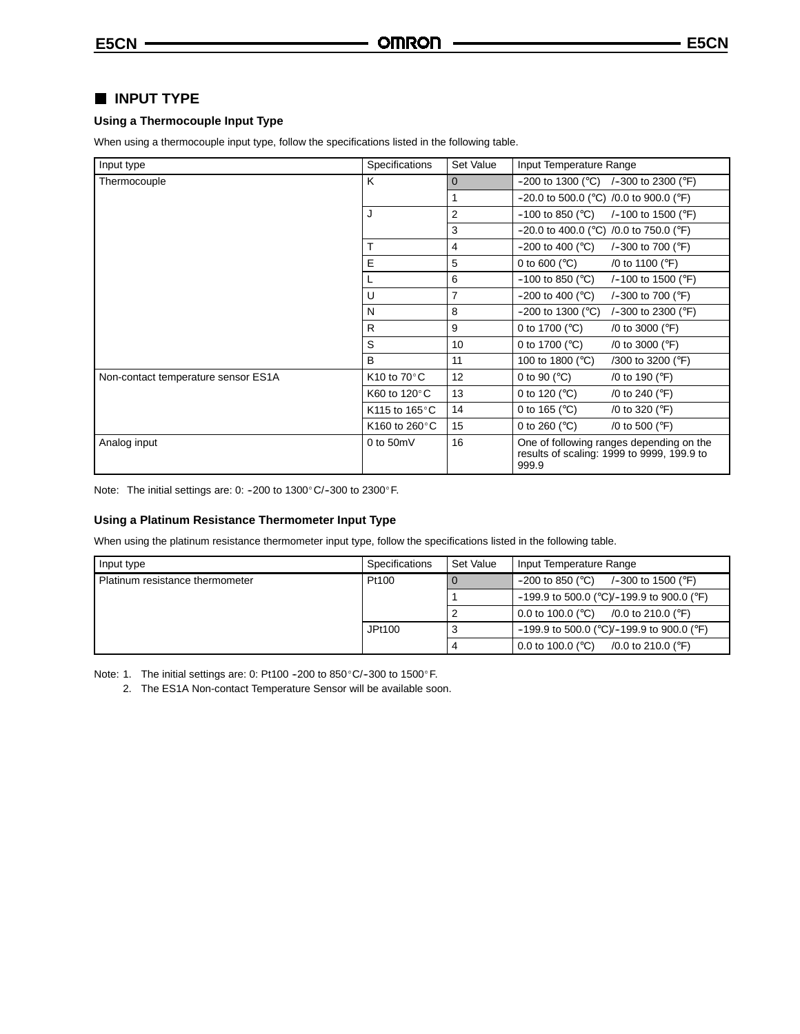# **INPUT TYPE**

#### **Using a Thermocouple Input Type**

When using a thermocouple input type, follow the specifications listed in the following table.

| Input type                          | Specifications                    | Set Value      | Input Temperature Range                                                                         |
|-------------------------------------|-----------------------------------|----------------|-------------------------------------------------------------------------------------------------|
| Thermocouple                        | K                                 | $\Omega$       | $-200$ to 1300 (°C) /-300 to 2300 (°F)                                                          |
|                                     |                                   |                | $-20.0$ to 500.0 (°C) /0.0 to 900.0 (°F)                                                        |
|                                     | J                                 | $\overline{2}$ | $-100$ to 850 (°C)<br>/-100 to 1500 ( $\degree$ F)                                              |
|                                     |                                   | 3              | $-20.0$ to 400.0 (°C) /0.0 to 750.0 (°F)                                                        |
|                                     |                                   | 4              | $-200$ to 400 ( $^{\circ}$ C)<br>/-300 to 700 ( $\degree$ F)                                    |
|                                     | E                                 | 5              | 0 to 600 ( $^{\circ}$ C)<br>/0 to 1100 ( $\degree$ F)                                           |
|                                     |                                   | 6              | $-100$ to 850 ( $^{\circ}$ C)<br>/-100 to 1500 ( $\degree$ F)                                   |
|                                     | U                                 | $\overline{7}$ | $-200$ to 400 ( $^{\circ}$ C)<br>$/-300$ to 700 ( $\degree$ F)                                  |
|                                     | N                                 | 8              | $-200$ to 1300 ( $^{\circ}$ C)<br>$/-300$ to 2300 ( $\degree$ F)                                |
|                                     | R                                 | 9              | 0 to 1700 ( $^{\circ}$ C)<br>/0 to 3000 ( $\degree$ F)                                          |
|                                     | S                                 | 10             | 0 to 1700 ( $^{\circ}$ C)<br>/0 to 3000 (°F)                                                    |
|                                     | B                                 | 11             | 100 to 1800 (°C)<br>$/300$ to 3200 ( $\degree$ F)                                               |
| Non-contact temperature sensor ES1A | K <sub>10</sub> to $70^{\circ}$ C | 12             | 0 to 90 ( $^{\circ}$ C)<br>/0 to 190 (°F)                                                       |
|                                     | K60 to 120 °C                     | 13             | 0 to 120 ( $^{\circ}$ C)<br>/0 to 240 ( $\degree$ F)                                            |
|                                     | K115 to 165°C                     | 14             | 0 to 165 ( $^{\circ}$ C)<br>/0 to 320 (°F)                                                      |
|                                     | K160 to 260 °C                    | 15             | 0 to 260 ( $^{\circ}$ C)<br>/0 to 500 (°F)                                                      |
| Analog input                        | 0 to $50mV$                       | 16             | One of following ranges depending on the<br>results of scaling: 1999 to 9999, 199.9 to<br>999.9 |

Note: The initial settings are: 0: -200 to  $1300^{\circ}$ C/-300 to  $2300^{\circ}$ F.

#### **Using a Platinum Resistance Thermometer Input Type**

When using the platinum resistance thermometer input type, follow the specifications listed in the following table.

| Input type                      | Specifications | Set Value | Input Temperature Range                                      |
|---------------------------------|----------------|-----------|--------------------------------------------------------------|
| Platinum resistance thermometer | Pt100          | $\Omega$  | $-200$ to 850 (°C)<br>/-300 to 1500 ( $\degree$ F)           |
|                                 |                |           | $-199.9$ to 500.0 (°C)/-199.9 to 900.0 (°F)                  |
|                                 |                |           | 0.0 to 100.0 ( $^{\circ}$ C)<br>/0.0 to 210.0 ( $\degree$ F) |
|                                 | JPt100         | 3         | $-199.9$ to 500.0 (°C)/-199.9 to 900.0 (°F)                  |
|                                 |                | 4         | 0.0 to 100.0 ( $^{\circ}$ C)<br>/0.0 to 210.0 ( $\degree$ F) |

Note: 1. The initial settings are: 0: Pt100 -200 to 850 $^{\circ}$ C/-300 to 1500 $^{\circ}$ F.

2. The ES1A Non-contact Temperature Sensor will be available soon.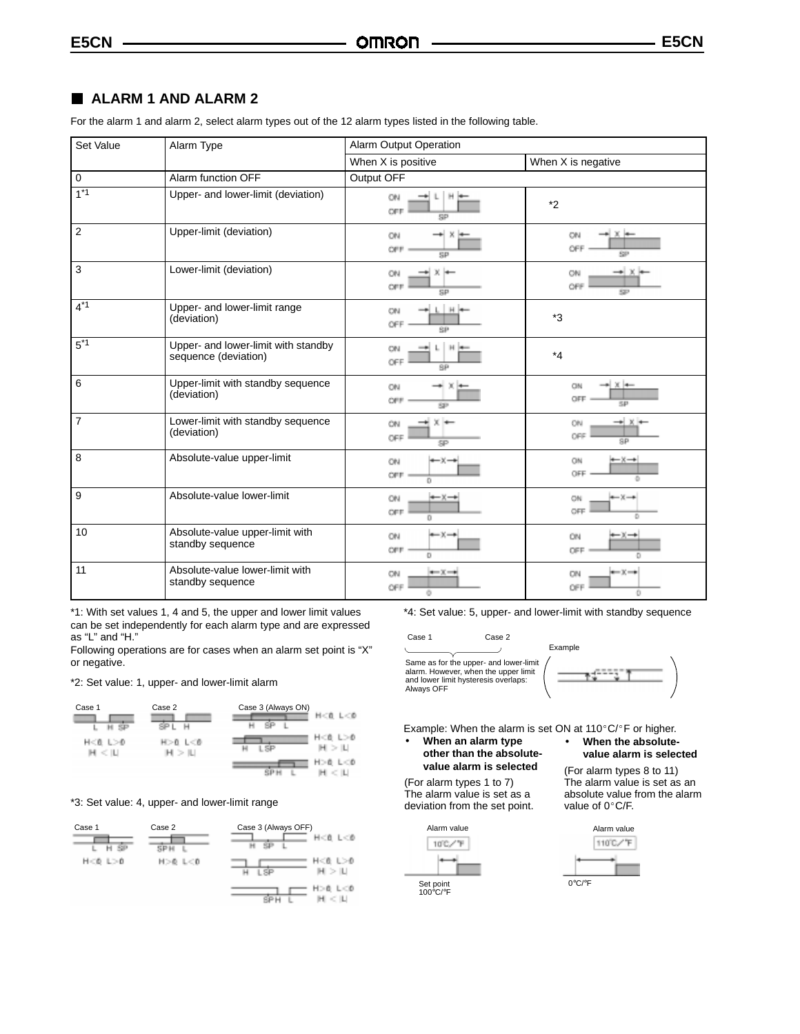# **ALARM 1 AND ALARM 2**

For the alarm 1 and alarm 2, select alarm types out of the 12 alarm types listed in the following table.

| Set Value        | Alarm Type                                                  | Alarm Output Operation                                |                                                                 |
|------------------|-------------------------------------------------------------|-------------------------------------------------------|-----------------------------------------------------------------|
|                  |                                                             | When X is positive                                    | When X is negative                                              |
| $\overline{0}$   | Alarm function OFF                                          | Output OFF                                            |                                                                 |
| $1*1$            | Upper- and lower-limit (deviation)                          | ON<br>OFF<br>SP                                       | $*_{2}$                                                         |
| $\overline{2}$   | Upper-limit (deviation)                                     | ON<br><b>OFF</b><br>sp                                | + x +<br>ON<br>OFF<br>SP <sub>1</sub>                           |
| 3                | Lower-limit (deviation)                                     | ON<br>OFF<br>SP                                       | $\rightarrow$ X<br>CN<br>OFF<br>527                             |
| $4*1$            | Upper- and lower-limit range<br>(deviation)                 | $L$   $H$   $+$<br>ON<br>OFF<br>SP                    | $*3$                                                            |
| $5^*$            | Upper- and lower-limit with standby<br>sequence (deviation) | $\mathbb{N}$<br>ON<br>OFF<br>8P                       | $*_{4}$                                                         |
| 6                | Upper-limit with standby sequence<br>(deviation)            | ON<br>OFF<br>SP                                       | $\rightarrow$ $\times$ $\leftarrow$<br>GN<br>OFF<br>5P          |
| $\overline{7}$   | Lower-limit with standby sequence<br>(deviation)            | $\times$ $\rightarrow$<br>ÖN<br>OFF<br>SP             | $\rightarrow$ $\times$ $\rightarrow$<br><b>CIN</b><br>OFF<br>SP |
| $\boldsymbol{8}$ | Absolute-value upper-limit                                  | ON<br>$\rightarrow x-$<br>OFF<br>o                    | $+ x \rightarrow$<br>ON<br>OFF                                  |
| 9                | Absolute-value lower-limit                                  | $+ x +$<br>ON<br>OFF<br>o                             | $\leftarrow$ $\times$ $\rightarrow$<br>CN<br>OFF<br>D.          |
| 10               | Absolute-value upper-limit with<br>standby sequence         | $\leftarrow$ $\times$ $\rightarrow$<br>ON<br>OFF<br>Ð | $\rightarrow x \rightarrow$<br>ON<br><b>CFF</b>                 |
| 11               | Absolute-value lower-limit with<br>standby sequence         | $\leftarrow$ $x \rightarrow$<br>ON<br>OFF<br>÷        | $\leftarrow$ X $\rightarrow$<br>ON<br>OFF<br>O                  |

\*1: With set values 1, 4 and 5, the upper and lower limit values can be set independently for each alarm type and are expressed as "L" and "H."

Following operations are for cases when an alarm set point is "X" or negative.

\*2: Set value: 1, upper- and lower-limit alarm



#### \*3: Set value: 4, upper- and lower-limit range



\*4: Set value: 5, upper- and lower-limit with standby sequence

Case 1 Case 2 Same as for the upper- and lower-limit alarm. However, when the upper limit and lower limit hysteresis overlaps: Always OFF



Example: When the alarm is set ON at 110 $^{\circ}$ C/ $^{\circ}$ F or higher.

#### • **When an alarm type other than the absolutevalue alarm is selected**

(For alarm types 1 to 7) The alarm value is set as a deviation from the set point.





The alarm value is set as an absolute value from the alarm<br>value of  $0^{\circ}$ C/F.

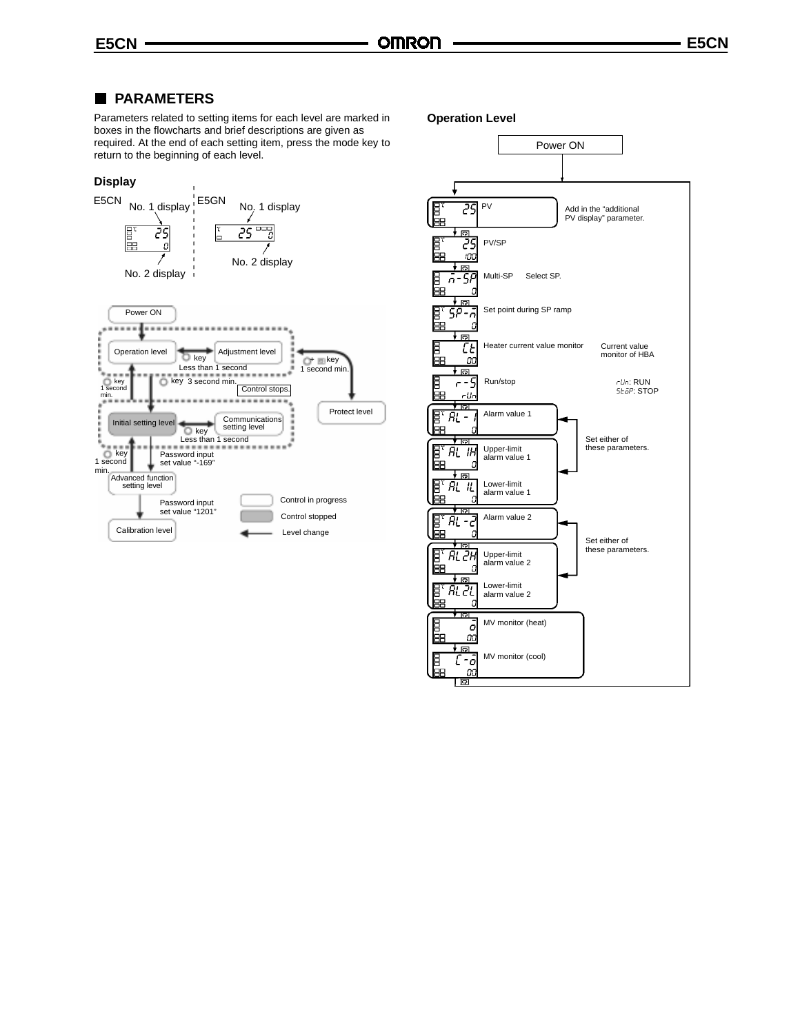# **PARAMETERS**

Parameters related to setting items for each level are marked in boxes in the flowcharts and brief descriptions are given as required. At the end of each setting item, press the mode key to return to the beginning of each level.

## **Display**



Control stops.

1 second min.

Control in progress Control stopped

Level change

Protect level

Communications setting level

.....

Password input set value "1201"

Password input set value "-169"

Less than 1 second  $\overline{\bigcirc_{\tiny{\text{key}}}}$ 

key 3 second min.

Less than 1 second

Advanced function setting level

Initial setting level

key<br>1 second min.

key<br>1 second min.

Calibration level

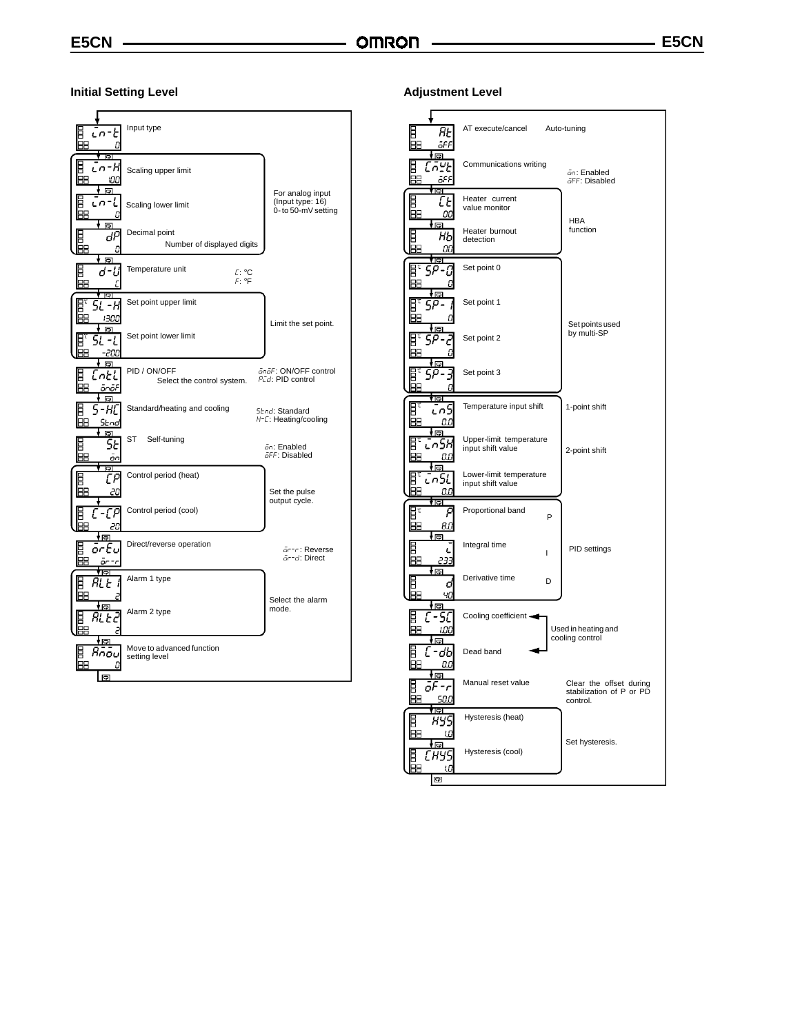**Initial Setting Level**



#### **Adjustment Level**

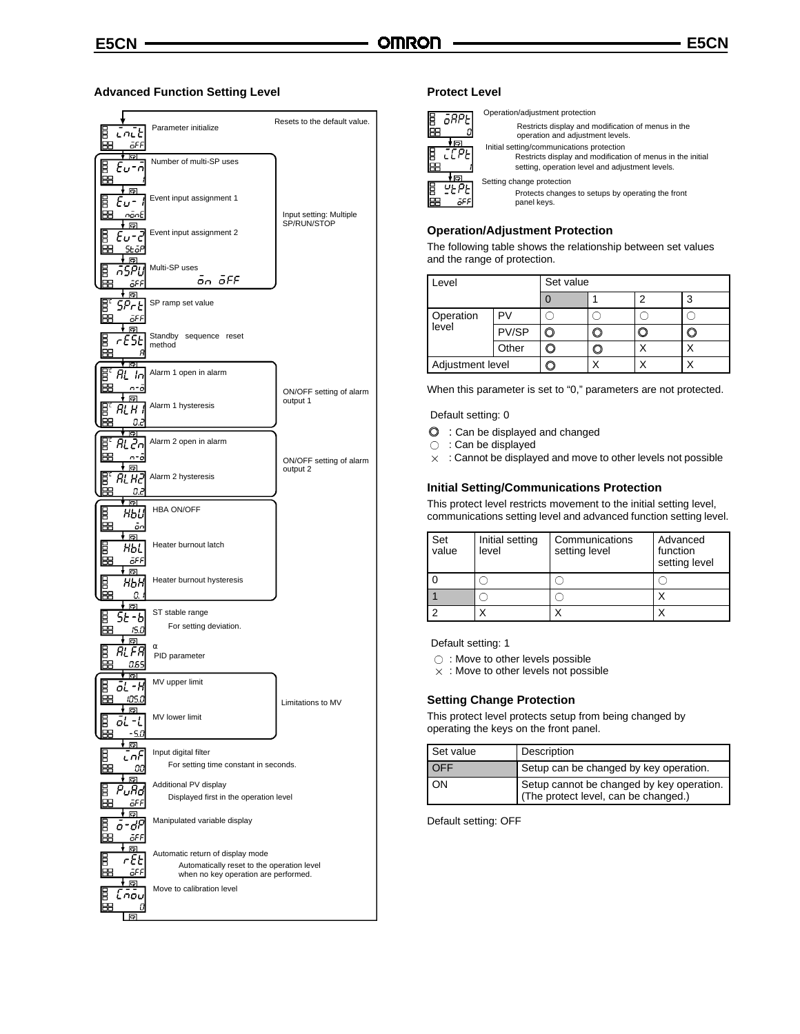#### **Advanced Function Setting Level**



#### **Protect Level**

| arpe       |   |
|------------|---|
| নে         |   |
|            |   |
| <u>ត្រ</u> | ì |
| ۳          |   |
|            |   |

Operation/adjustment protection Restricts display and modification of menus in the operation and adjustment levels. Initial setting/communications protection Restricts display and modification of menus in the initial setting, operation level and adjustment levels. Setting change protection Protects changes to setups by operating the front panel keys.

#### **Operation/Adjustment Protection**

The following table shows the relationship between set values and the range of protection.

| Level              |       | Set value |  |  |  |
|--------------------|-------|-----------|--|--|--|
|                    |       |           |  |  |  |
| Operation<br>level |       |           |  |  |  |
|                    | PV/SP |           |  |  |  |
|                    | Other |           |  |  |  |
| Adjustment level   |       |           |  |  |  |

When this parameter is set to "0," parameters are not protected.

#### Default setting: 0

- $\odot$  : Can be displayed and changed
- ◯ : Can be displayed
- $\times$  : Cannot be displayed and move to other levels not possible

#### **Initial Setting/Communications Protection**

This protect level restricts movement to the initial setting level, communications setting level and advanced function setting level.

| Set<br>value | Initial setting<br>level | Communications<br>setting level | Advanced<br>function<br>setting level |
|--------------|--------------------------|---------------------------------|---------------------------------------|
|              |                          |                                 |                                       |
|              |                          |                                 |                                       |
|              |                          |                                 |                                       |

Default setting: 1

- ◯ : Move to other levels possible
- $\times$  : Move to other levels not possible

#### **Setting Change Protection**

This protect level protects setup from being changed by operating the keys on the front panel.

| Set value | Description                                                                       |
|-----------|-----------------------------------------------------------------------------------|
| OFF       | Setup can be changed by key operation.                                            |
| OΝ        | Setup cannot be changed by key operation.<br>(The protect level, can be changed.) |

Default setting: OFF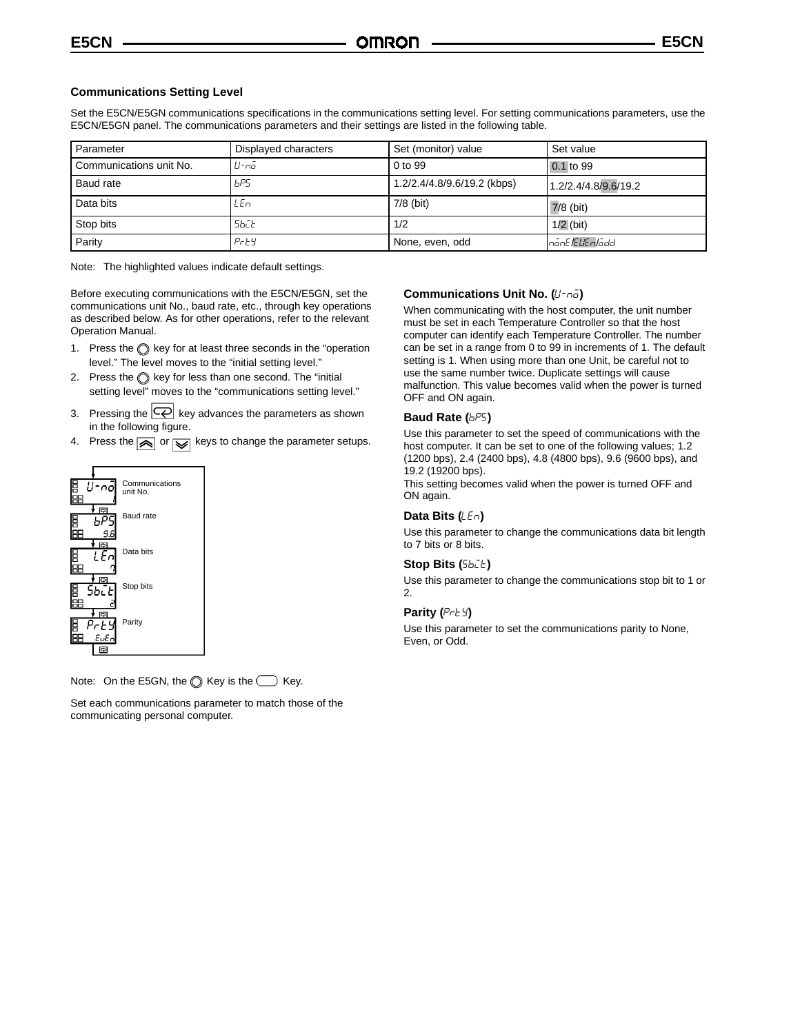#### **Communications Setting Level**

Set the E5CN/E5GN communications specifications in the communications setting level. For setting communications parameters, use the E5CN/E5GN panel. The communications parameters and their settings are listed in the following table.

| Parameter               | Displayed characters | Set (monitor) value         | Set value            |
|-------------------------|----------------------|-----------------------------|----------------------|
| Communications unit No. | II-nā                | 0 to 99                     | 0.1 to 99            |
| Baud rate               | bP5                  | 1.2/2.4/4.8/9.6/19.2 (kbps) | 1.2/2.4/4.8/9.6/19.2 |
| Data bits               | LEn                  | $7/8$ (bit)                 | $7/8$ (bit)          |
| Stop bits               | 56C E                | 1/2                         | $1/2$ (bit)          |
| Parity                  | $P$ r $E$ $Y$        | None, even, odd             | InanE/EUEn/add       |

Note: The highlighted values indicate default settings.

Before executing communications with the E5CN/E5GN, set the communications unit No., baud rate, etc., through key operations as described below. As for other operations, refer to the relevant Operation Manual.

- 1. Press the  $\bigcirc$  key for at least three seconds in the "operation level." The level moves to the "initial setting level."
- 2. Press the  $\bigcirc$  key for less than one second. The "initial setting level" moves to the "communications setting level."
- 3. Pressing the  $\left| \overline{\left\langle \varphi \right|} \right|$  key advances the parameters as shown in the following figure.
- 4. Press the  $\boxed{\color{red} \blacktriangle}$  or  $\boxed{\color{red} \blacktriangledown}$  keys to change the parameter setups.



Note: On the E5GN, the  $\bigcirc$  Key is the  $\bigcirc$  Key.

Set each communications parameter to match those of the communicating personal computer.

#### **Communications Unit No. (U-no)**

When communicating with the host computer, the unit number must be set in each Temperature Controller so that the host computer can identify each Temperature Controller. The number can be set in a range from 0 to 99 in increments of 1. The default setting is 1. When using more than one Unit, be careful not to use the same number twice. Duplicate settings will cause malfunction. This value becomes valid when the power is turned OFF and ON again.

#### **Baud Rate (** $b^{pg}$ **)**

Use this parameter to set the speed of communications with the host computer. It can be set to one of the following values; 1.2 (1200 bps), 2.4 (2400 bps), 4.8 (4800 bps), 9.6 (9600 bps), and 19.2 (19200 bps).

This setting becomes valid when the power is turned OFF and ON again.

#### **Data Bits (***LEn***)**

Use this parameter to change the communications data bit length to 7 bits or 8 bits.

### **Stop Bits (Sbile)**

Use this parameter to change the communications stop bit to 1 or 2.

#### **Parity (** $P \in E$ **)**

Use this parameter to set the communications parity to None, Even, or Odd.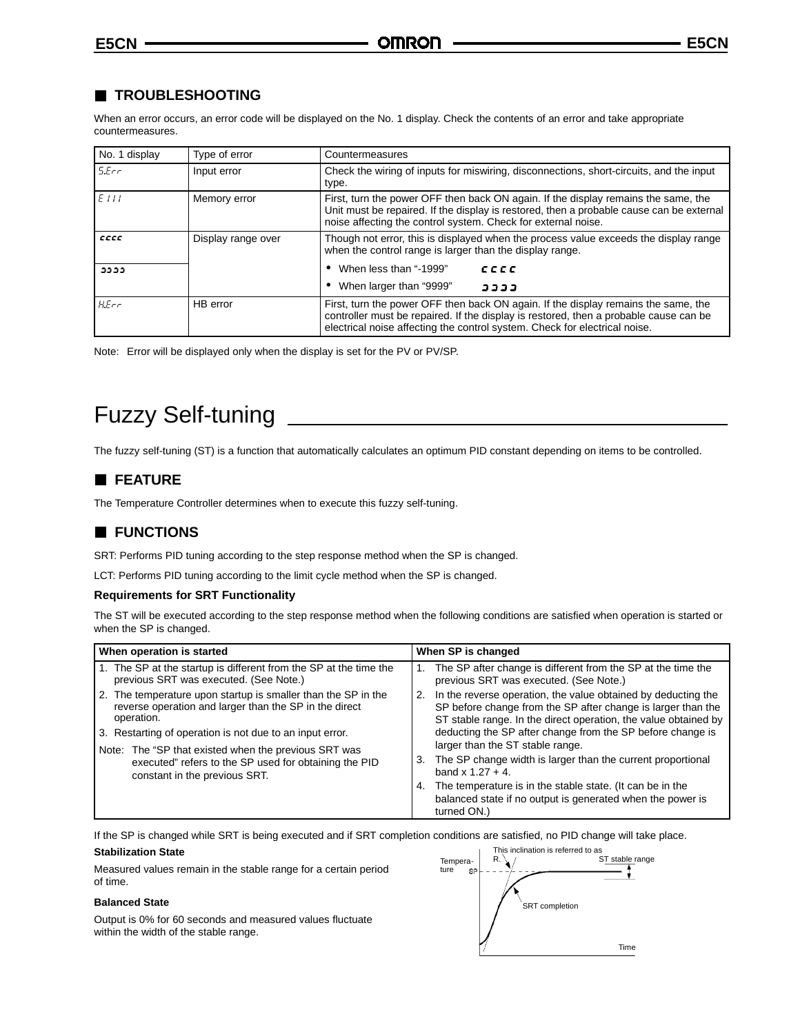# **TROUBLESHOOTING**

When an error occurs, an error code will be displayed on the No. 1 display. Check the contents of an error and take appropriate countermeasures.

| No. 1 display | Type of error      | Countermeasures                                                                                                                                                                                                                                           |  |
|---------------|--------------------|-----------------------------------------------------------------------------------------------------------------------------------------------------------------------------------------------------------------------------------------------------------|--|
| SEcr          | Input error        | Check the wiring of inputs for miswiring, disconnections, short-circuits, and the input<br>type.                                                                                                                                                          |  |
| FIII          | Memory error       | First, turn the power OFF then back ON again. If the display remains the same, the<br>Unit must be repaired. If the display is restored, then a probable cause can be external<br>noise affecting the control system. Check for external noise.           |  |
| cccc          | Display range over | Though not error, this is displayed when the process value exceeds the display range<br>when the control range is larger than the display range.                                                                                                          |  |
| دددد          |                    | When less than "-1999"<br>cccc                                                                                                                                                                                                                            |  |
|               |                    | When larger than "9999"<br>3333                                                                                                                                                                                                                           |  |
| HEcr          | HB error           | First, turn the power OFF then back ON again. If the display remains the same, the<br>controller must be repaired. If the display is restored, then a probable cause can be<br>electrical noise affecting the control system. Check for electrical noise. |  |

Note: Error will be displayed only when the display is set for the PV or PV/SP.

# Fuzzy Self-tuning

The fuzzy self-tuning (ST) is a function that automatically calculates an optimum PID constant depending on items to be controlled.

# **FEATURE**

The Temperature Controller determines when to execute this fuzzy self-tuning.

# **FUNCTIONS**

SRT: Performs PID tuning according to the step response method when the SP is changed.

LCT: Performs PID tuning according to the limit cycle method when the SP is changed.

#### **Requirements for SRT Functionality**

The ST will be executed according to the step response method when the following conditions are satisfied when operation is started or when the SP is changed.

| When operation is started                                                                                                                                                                            | When SP is changed                                                                                                                                                                                                                                                                                       |
|------------------------------------------------------------------------------------------------------------------------------------------------------------------------------------------------------|----------------------------------------------------------------------------------------------------------------------------------------------------------------------------------------------------------------------------------------------------------------------------------------------------------|
| 1. The SP at the startup is different from the SP at the time the<br>previous SRT was executed. (See Note.)                                                                                          | The SP after change is different from the SP at the time the<br>previous SRT was executed. (See Note.)                                                                                                                                                                                                   |
| The temperature upon startup is smaller than the SP in the<br>2.<br>reverse operation and larger than the SP in the direct<br>operation.<br>3. Restarting of operation is not due to an input error. | In the reverse operation, the value obtained by deducting the<br>2.<br>SP before change from the SP after change is larger than the<br>ST stable range. In the direct operation, the value obtained by<br>deducting the SP after change from the SP before change is<br>larger than the ST stable range. |
| Note: The "SP that existed when the previous SRT was<br>executed" refers to the SP used for obtaining the PID<br>constant in the previous SRT.                                                       | The SP change width is larger than the current proportional<br>3.<br>band x $1.27 + 4$ .                                                                                                                                                                                                                 |
|                                                                                                                                                                                                      | The temperature is in the stable state. (It can be in the<br>4.<br>balanced state if no output is generated when the power is<br>turned ON.)                                                                                                                                                             |

If the SP is changed while SRT is being executed and if SRT completion conditions are satisfied, no PID change will take place.

#### **Stabilization State**

Measured values remain in the stable range for a certain period of time.

#### **Balanced State**

Output is 0% for 60 seconds and measured values fluctuate within the width of the stable range.

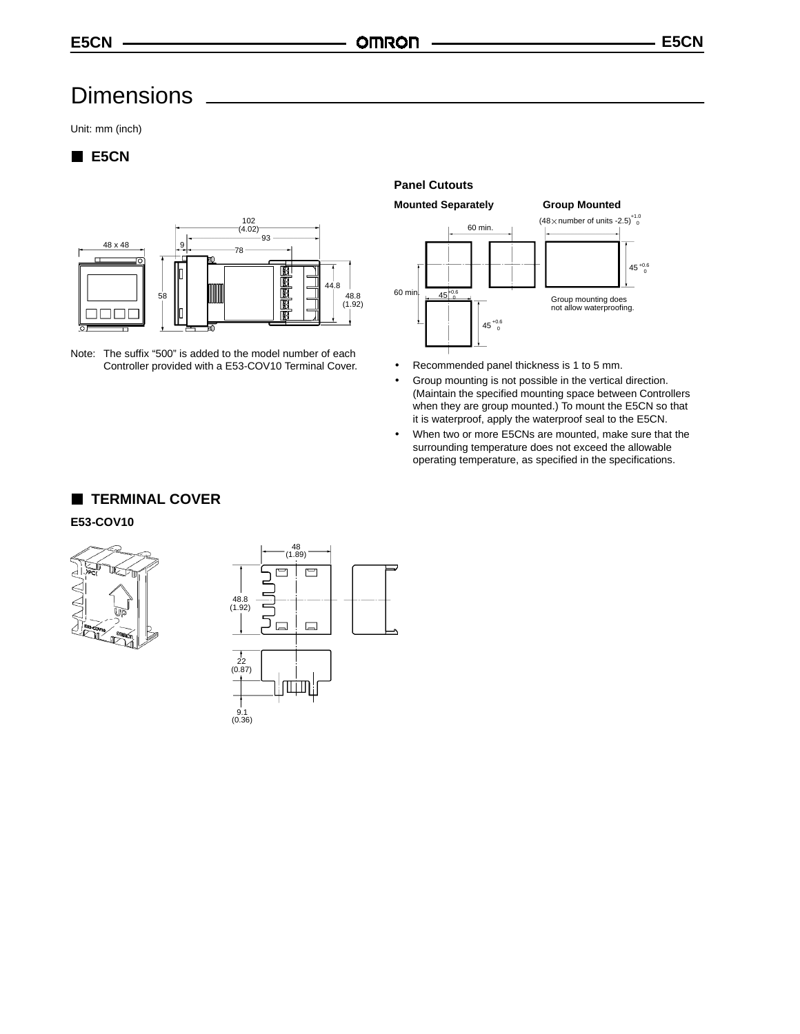# **Dimensions**

Unit: mm (inch)

# **E5CN**



Note: The suffix "500" is added to the model number of each Controller provided with a E53-COV10 Terminal Cover.

### **Panel Cutouts**

**Mounted Separately Group Mounted**



- Recommended panel thickness is 1 to 5 mm.
- Group mounting is not possible in the vertical direction. (Maintain the specified mounting space between Controllers when they are group mounted.) To mount the E5CN so that it is waterproof, apply the waterproof seal to the E5CN.
- When two or more E5CNs are mounted, make sure that the surrounding temperature does not exceed the allowable operating temperature, as specified in the specifications.

# **TERMINAL COVER**

#### **E53-COV10**



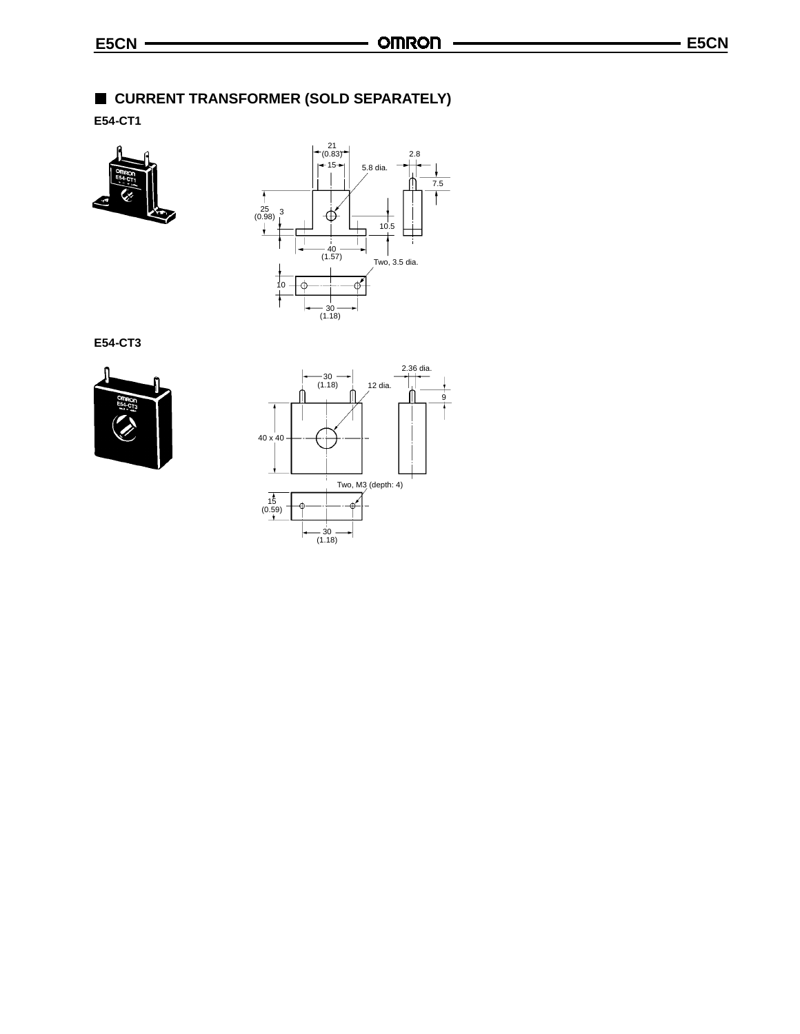# **CURRENT TRANSFORMER (SOLD SEPARATELY)**

**E54-CT1**





**E54-CT3**



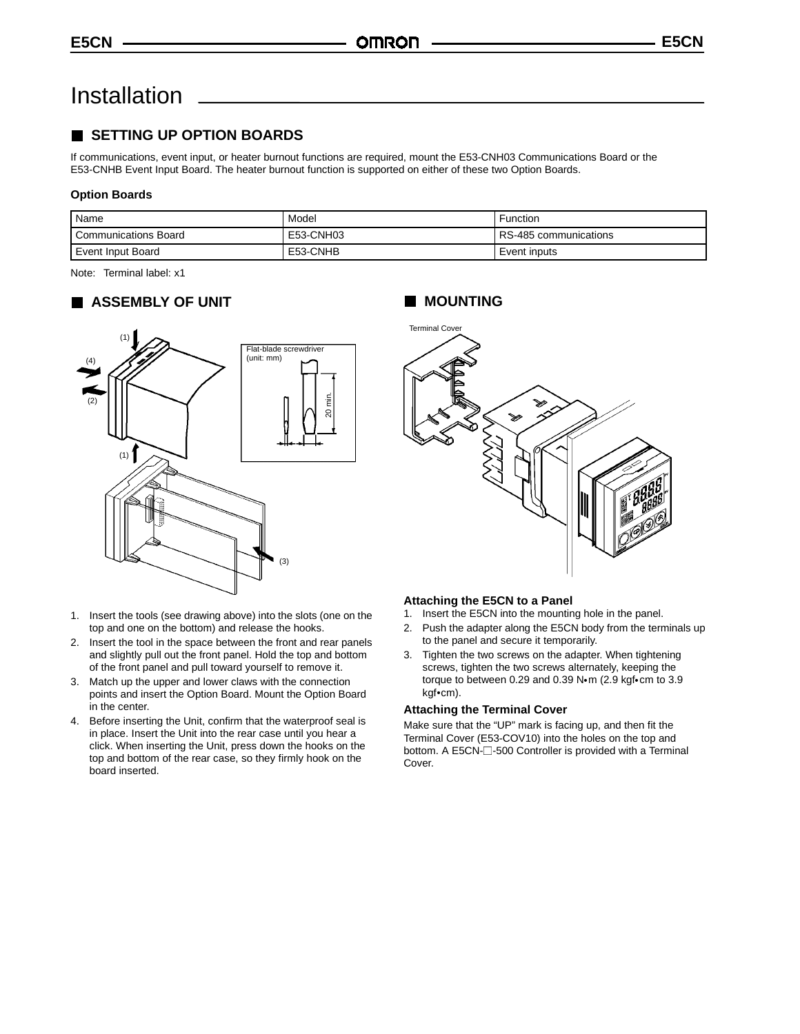# Installation

# **SETTING UP OPTION BOARDS**

If communications, event input, or heater burnout functions are required, mount the E53-CNH03 Communications Board or the E53-CNHB Event Input Board. The heater burnout function is supported on either of these two Option Boards.

#### **Option Boards**

| Name                        | Model     | Function              |
|-----------------------------|-----------|-----------------------|
| <b>Communications Board</b> | E53-CNH03 | RS-485 communications |
| Event Input Board           | E53-CNHB  | Event inputs          |

Note: Terminal label: x1

# **ASSEMBLY OF UNIT**



- 1. Insert the tools (see drawing above) into the slots (one on the top and one on the bottom) and release the hooks.
- 2. Insert the tool in the space between the front and rear panels and slightly pull out the front panel. Hold the top and bottom of the front panel and pull toward yourself to remove it.
- 3. Match up the upper and lower claws with the connection points and insert the Option Board. Mount the Option Board in the center.
- 4. Before inserting the Unit, confirm that the waterproof seal is in place. Insert the Unit into the rear case until you hear a click. When inserting the Unit, press down the hooks on the top and bottom of the rear case, so they firmly hook on the board inserted.

# **MOUNTING**



#### **Attaching the E5CN to a Panel**

- 1. Insert the E5CN into the mounting hole in the panel.
- 2. Push the adapter along the E5CN body from the terminals up to the panel and secure it temporarily.
- 3. Tighten the two screws on the adapter. When tightening screws, tighten the two screws alternately, keeping the torque to between 0.29 and 0.39  $N \cdot m$  (2.9 kgf $\cdot$ cm to 3.9 kgf•cm).

#### **Attaching the Terminal Cover**

Make sure that the "UP" mark is facing up, and then fit the Terminal Cover (E53-COV10) into the holes on the top and bottom. A E5CN- $\square$ -500 Controller is provided with a Terminal Cover.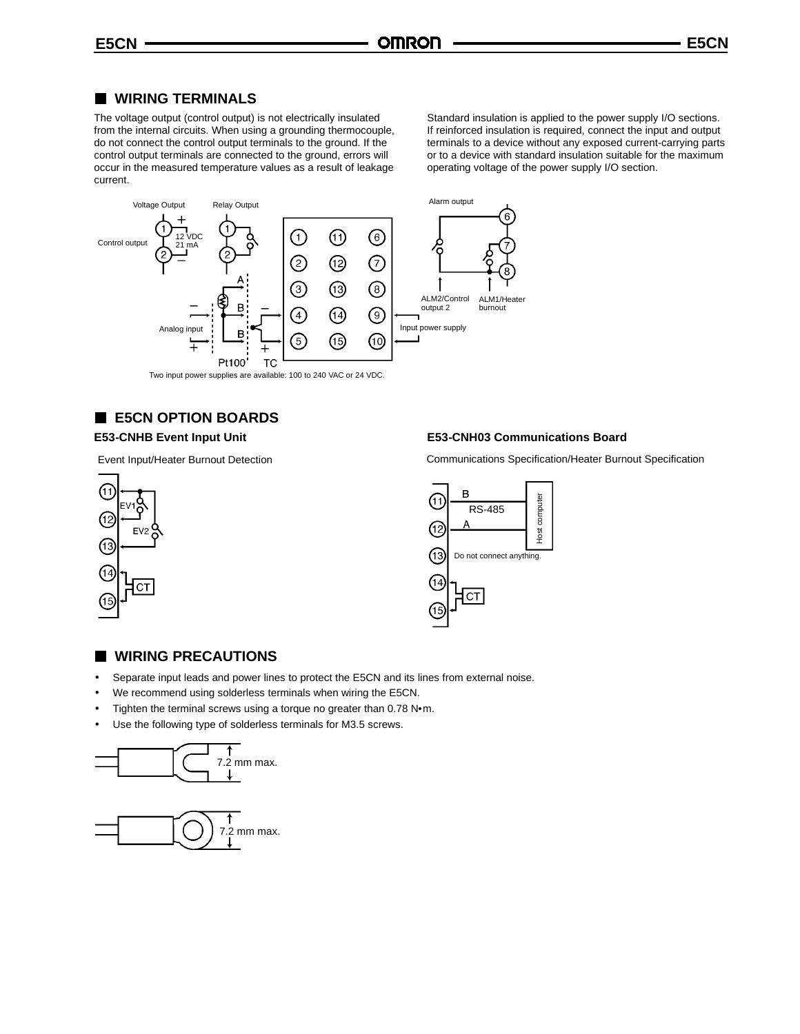## **WIRING TERMINALS**

The voltage output (control output) is not electrically insulated from the internal circuits. When using a grounding thermocouple, do not connect the control output terminals to the ground. If the control output terminals are connected to the ground, errors will occur in the measured temperature values as a result of leakage current.

Standard insulation is applied to the power supply I/O sections. If reinforced insulation is required, connect the input and output terminals to a device without any exposed current-carrying parts or to a device with standard insulation suitable for the maximum operating voltage of the power supply I/O section.



# **E5CN OPTION BOARDS**

# **E53-CNHB Event Input Unit**

Event Input/Heater Burnout Detection





### **WIRING PRECAUTIONS**

- Separate input leads and power lines to protect the E5CN and its lines from external noise.
- We recommend using solderless terminals when wiring the E5CN.
- Tighten the terminal screws using a torque no greater than 0.78 N·m.
- Use the following type of solderless terminals for M3.5 screws.





# Communications Specification/Heater Burnout Specification

**E53-CNH03 Communications Board**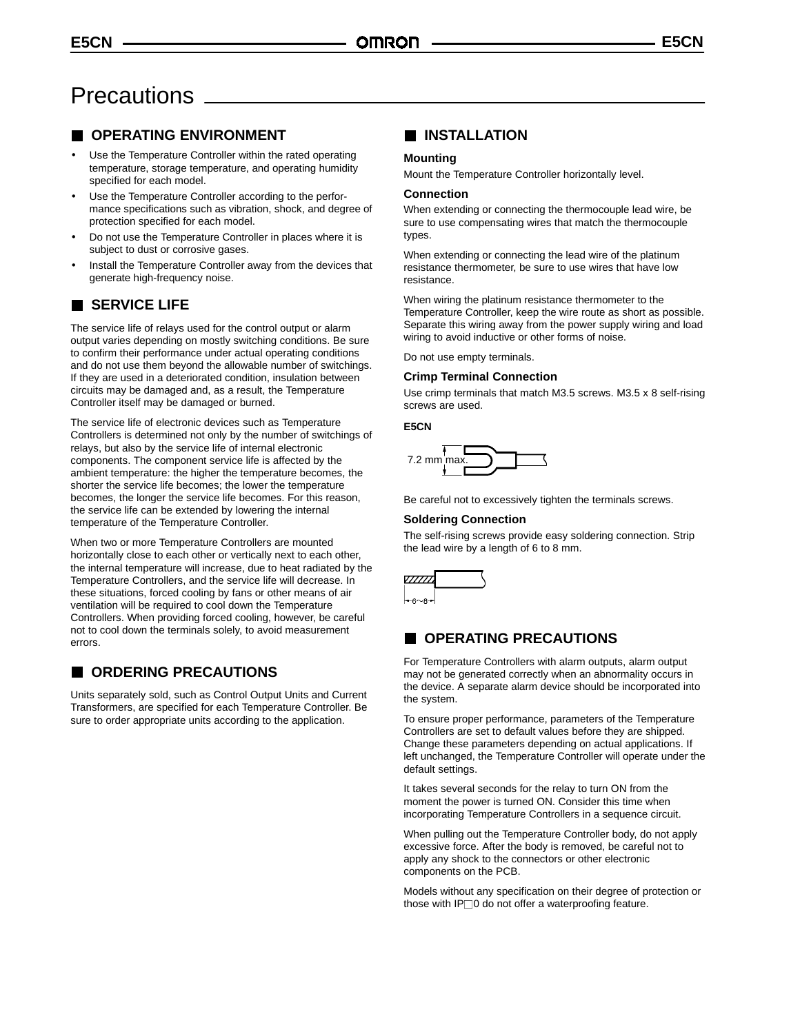# **Precautions**

# **OPERATING ENVIRONMENT**

- Use the Temperature Controller within the rated operating temperature, storage temperature, and operating humidity specified for each model.
- Use the Temperature Controller according to the performance specifications such as vibration, shock, and degree of protection specified for each model.
- Do not use the Temperature Controller in places where it is subject to dust or corrosive gases.
- Install the Temperature Controller away from the devices that generate high-frequency noise.

# **SERVICE LIFE**

The service life of relays used for the control output or alarm output varies depending on mostly switching conditions. Be sure to confirm their performance under actual operating conditions and do not use them beyond the allowable number of switchings. If they are used in a deteriorated condition, insulation between circuits may be damaged and, as a result, the Temperature Controller itself may be damaged or burned.

The service life of electronic devices such as Temperature Controllers is determined not only by the number of switchings of relays, but also by the service life of internal electronic components. The component service life is affected by the ambient temperature: the higher the temperature becomes, the shorter the service life becomes; the lower the temperature becomes, the longer the service life becomes. For this reason, the service life can be extended by lowering the internal temperature of the Temperature Controller.

When two or more Temperature Controllers are mounted horizontally close to each other or vertically next to each other, the internal temperature will increase, due to heat radiated by the Temperature Controllers, and the service life will decrease. In these situations, forced cooling by fans or other means of air ventilation will be required to cool down the Temperature Controllers. When providing forced cooling, however, be careful not to cool down the terminals solely, to avoid measurement errors.

# **ORDERING PRECAUTIONS**

Units separately sold, such as Control Output Units and Current Transformers, are specified for each Temperature Controller. Be sure to order appropriate units according to the application.

# **INSTALLATION**

#### **Mounting**

Mount the Temperature Controller horizontally level.

#### **Connection**

When extending or connecting the thermocouple lead wire, be sure to use compensating wires that match the thermocouple types.

When extending or connecting the lead wire of the platinum resistance thermometer, be sure to use wires that have low resistance.

When wiring the platinum resistance thermometer to the Temperature Controller, keep the wire route as short as possible. Separate this wiring away from the power supply wiring and load wiring to avoid inductive or other forms of noise.

Do not use empty terminals.

#### **Crimp Terminal Connection**

Use crimp terminals that match M3.5 screws. M3.5 x 8 self-rising screws are used.

#### **E5CN**



Be careful not to excessively tighten the terminals screws.

#### **Soldering Connection**

The self-rising screws provide easy soldering connection. Strip the lead wire by a length of 6 to 8 mm.



# **OPERATING PRECAUTIONS**

For Temperature Controllers with alarm outputs, alarm output may not be generated correctly when an abnormality occurs in the device. A separate alarm device should be incorporated into the system.

To ensure proper performance, parameters of the Temperature Controllers are set to default values before they are shipped. Change these parameters depending on actual applications. If left unchanged, the Temperature Controller will operate under the default settings.

It takes several seconds for the relay to turn ON from the moment the power is turned ON. Consider this time when incorporating Temperature Controllers in a sequence circuit.

When pulling out the Temperature Controller body, do not apply excessive force. After the body is removed, be careful not to apply any shock to the connectors or other electronic components on the PCB.

Models without any specification on their degree of protection or those with IP□0 do not offer a waterproofing feature.